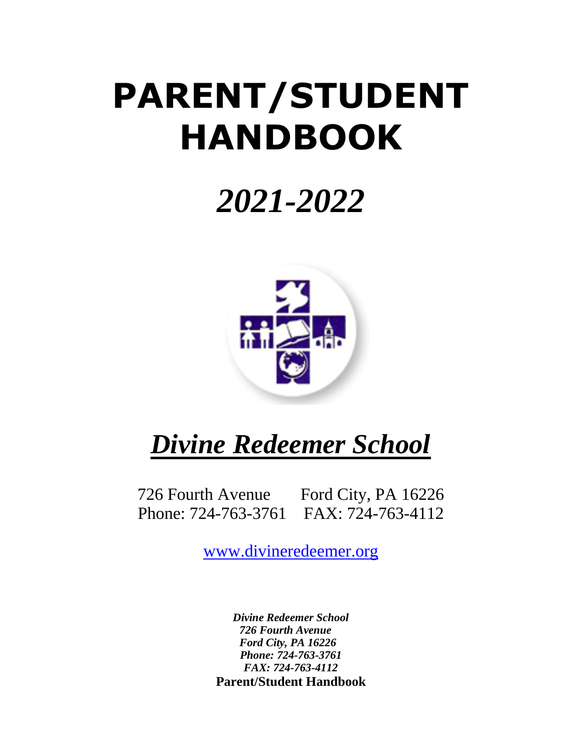# **PARENT/STUDENT HANDBOOK**

## *2021-2022*



## *Divine Redeemer School*

726 Fourth Avenue Ford City, PA 16226 Phone: 724-763-3761 FAX: 724-763-4112

[www.divineredeemer.org](http://www.divineredeemer.org/)

*Divine Redeemer School 726 Fourth Avenue Ford City, PA 16226 Phone: 724-763-3761 FAX: 724-763-4112* **Parent/Student Handbook**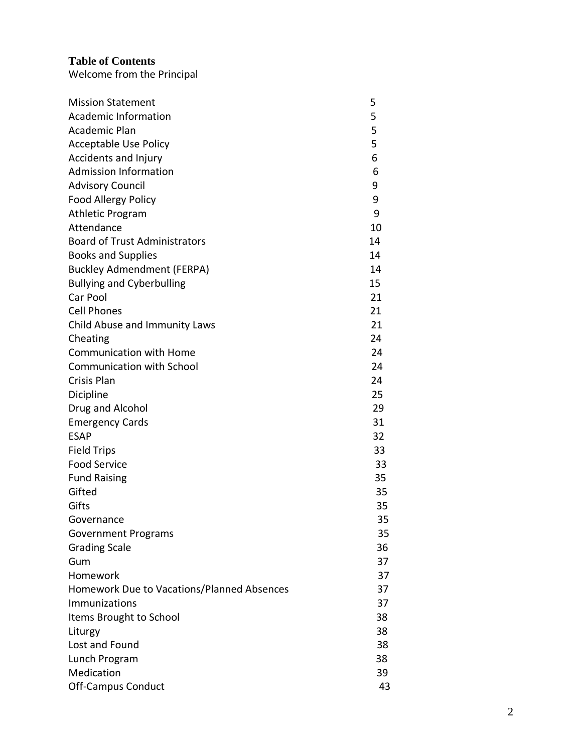## **Table of Contents**

Welcome from the Principal

| <b>Mission Statement</b>                   | 5  |
|--------------------------------------------|----|
| <b>Academic Information</b>                | 5  |
| Academic Plan                              | 5  |
| <b>Acceptable Use Policy</b>               | 5  |
| Accidents and Injury                       | 6  |
| <b>Admission Information</b>               | 6  |
| <b>Advisory Council</b>                    | 9  |
| Food Allergy Policy                        | 9  |
| <b>Athletic Program</b>                    | 9  |
| Attendance                                 | 10 |
| <b>Board of Trust Administrators</b>       | 14 |
| <b>Books and Supplies</b>                  | 14 |
| <b>Buckley Admendment (FERPA)</b>          | 14 |
| <b>Bullying and Cyberbulling</b>           | 15 |
| Car Pool                                   | 21 |
| <b>Cell Phones</b>                         | 21 |
| Child Abuse and Immunity Laws              | 21 |
| Cheating                                   | 24 |
| <b>Communication with Home</b>             | 24 |
| <b>Communication with School</b>           | 24 |
| Crisis Plan                                | 24 |
| Dicipline                                  | 25 |
| Drug and Alcohol                           | 29 |
| <b>Emergency Cards</b>                     | 31 |
| <b>ESAP</b>                                | 32 |
| <b>Field Trips</b>                         | 33 |
| <b>Food Service</b>                        | 33 |
| <b>Fund Raising</b>                        | 35 |
| Gifted                                     | 35 |
| Gifts                                      | 35 |
| Governance                                 | 35 |
| <b>Government Programs</b>                 | 35 |
| <b>Grading Scale</b>                       | 36 |
| Gum                                        | 37 |
| Homework                                   | 37 |
| Homework Due to Vacations/Planned Absences | 37 |
| Immunizations                              | 37 |
| Items Brought to School                    | 38 |
| Liturgy                                    | 38 |
| Lost and Found                             | 38 |
| Lunch Program                              | 38 |
| Medication                                 | 39 |
| <b>Off-Campus Conduct</b>                  | 43 |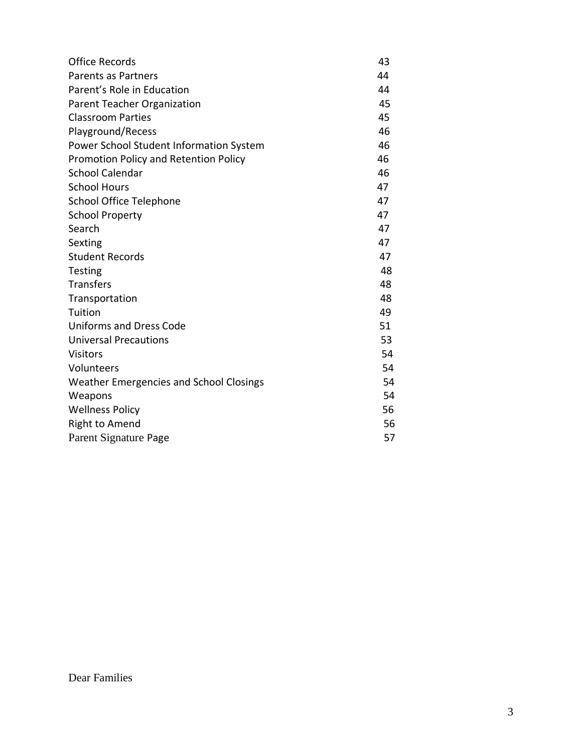| <b>Office Records</b>                   | 43 |
|-----------------------------------------|----|
| Parents as Partners                     | 44 |
| Parent's Role in Education              | 44 |
| <b>Parent Teacher Organization</b>      | 45 |
| <b>Classroom Parties</b>                | 45 |
| Playground/Recess                       | 46 |
| Power School Student Information System | 46 |
| Promotion Policy and Retention Policy   | 46 |
| <b>School Calendar</b>                  | 46 |
| <b>School Hours</b>                     | 47 |
| <b>School Office Telephone</b>          | 47 |
| <b>School Property</b>                  | 47 |
| Search                                  | 47 |
| Sexting                                 | 47 |
| <b>Student Records</b>                  | 47 |
| Testing                                 | 48 |
| <b>Transfers</b>                        | 48 |
| Transportation                          | 48 |
| Tuition                                 | 49 |
| <b>Uniforms and Dress Code</b>          | 51 |
| <b>Universal Precautions</b>            | 53 |
| <b>Visitors</b>                         | 54 |
| Volunteers                              | 54 |
| Weather Emergencies and School Closings | 54 |
| Weapons                                 | 54 |
| <b>Wellness Policy</b>                  | 56 |
| <b>Right to Amend</b>                   | 56 |
| Parent Signature Page                   | 57 |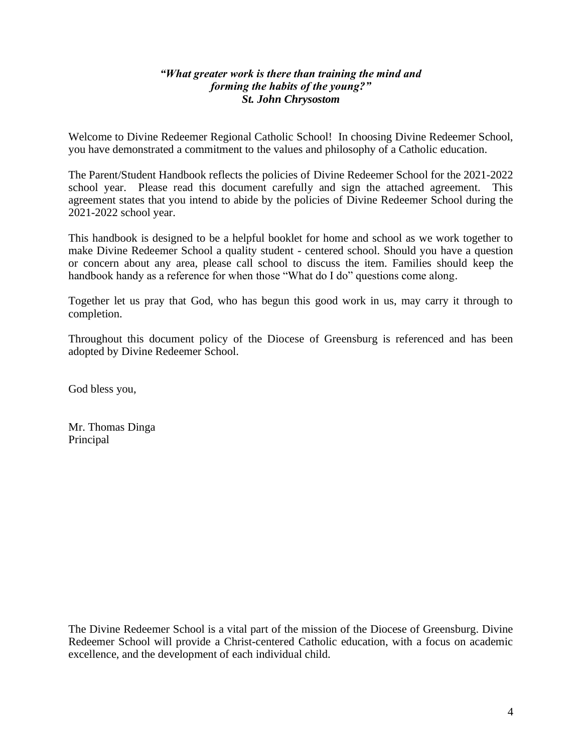#### *"What greater work is there than training the mind and forming the habits of the young?" St. John Chrysostom*

Welcome to Divine Redeemer Regional Catholic School! In choosing Divine Redeemer School, you have demonstrated a commitment to the values and philosophy of a Catholic education.

The Parent/Student Handbook reflects the policies of Divine Redeemer School for the 2021-2022 school year. Please read this document carefully and sign the attached agreement. This agreement states that you intend to abide by the policies of Divine Redeemer School during the 2021-2022 school year.

This handbook is designed to be a helpful booklet for home and school as we work together to make Divine Redeemer School a quality student - centered school. Should you have a question or concern about any area, please call school to discuss the item. Families should keep the handbook handy as a reference for when those "What do I do" questions come along.

Together let us pray that God, who has begun this good work in us, may carry it through to completion.

Throughout this document policy of the Diocese of Greensburg is referenced and has been adopted by Divine Redeemer School.

God bless you,

Mr. Thomas Dinga Principal

The Divine Redeemer School is a vital part of the mission of the Diocese of Greensburg. Divine Redeemer School will provide a Christ-centered Catholic education, with a focus on academic excellence, and the development of each individual child.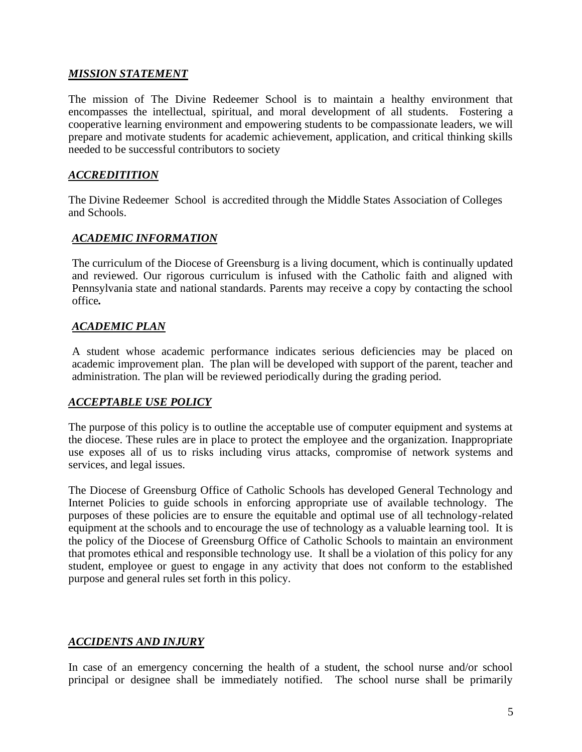#### *MISSION STATEMENT*

The mission of The Divine Redeemer School is to maintain a healthy environment that encompasses the intellectual, spiritual, and moral development of all students. Fostering a cooperative learning environment and empowering students to be compassionate leaders, we will prepare and motivate students for academic achievement, application, and critical thinking skills needed to be successful contributors to society

#### *ACCREDITITION*

The Divine Redeemer School is accredited through the Middle States Association of Colleges and Schools.

#### *ACADEMIC INFORMATION*

The curriculum of the Diocese of Greensburg is a living document, which is continually updated and reviewed. Our rigorous curriculum is infused with the Catholic faith and aligned with Pennsylvania state and national standards. Parents may receive a copy by contacting the school office*.*

#### *ACADEMIC PLAN*

A student whose academic performance indicates serious deficiencies may be placed on academic improvement plan. The plan will be developed with support of the parent, teacher and administration. The plan will be reviewed periodically during the grading period.

#### *ACCEPTABLE USE POLICY*

The purpose of this policy is to outline the acceptable use of computer equipment and systems at the diocese. These rules are in place to protect the employee and the organization. Inappropriate use exposes all of us to risks including virus attacks, compromise of network systems and services, and legal issues.

The Diocese of Greensburg Office of Catholic Schools has developed General Technology and Internet Policies to guide schools in enforcing appropriate use of available technology. The purposes of these policies are to ensure the equitable and optimal use of all technology-related equipment at the schools and to encourage the use of technology as a valuable learning tool. It is the policy of the Diocese of Greensburg Office of Catholic Schools to maintain an environment that promotes ethical and responsible technology use. It shall be a violation of this policy for any student, employee or guest to engage in any activity that does not conform to the established purpose and general rules set forth in this policy.

#### *ACCIDENTS AND INJURY*

In case of an emergency concerning the health of a student, the school nurse and/or school principal or designee shall be immediately notified. The school nurse shall be primarily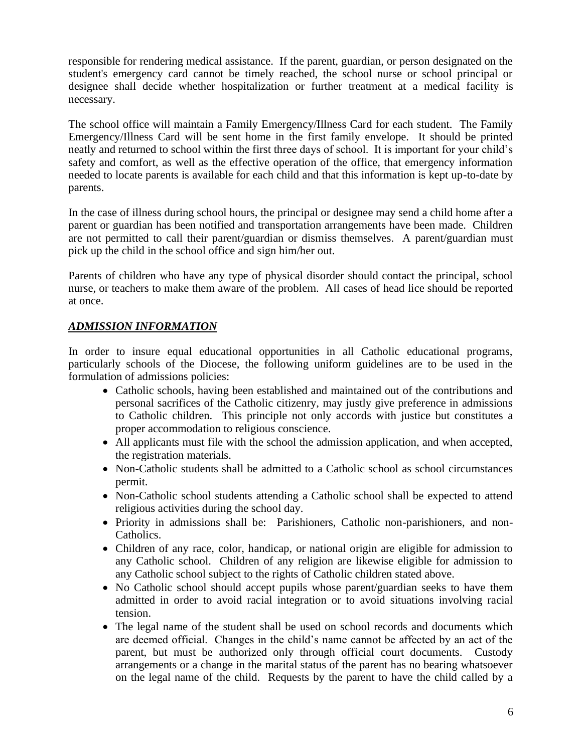responsible for rendering medical assistance. If the parent, guardian, or person designated on the student's emergency card cannot be timely reached, the school nurse or school principal or designee shall decide whether hospitalization or further treatment at a medical facility is necessary.

The school office will maintain a Family Emergency/Illness Card for each student. The Family Emergency/Illness Card will be sent home in the first family envelope. It should be printed neatly and returned to school within the first three days of school. It is important for your child's safety and comfort, as well as the effective operation of the office, that emergency information needed to locate parents is available for each child and that this information is kept up-to-date by parents.

In the case of illness during school hours, the principal or designee may send a child home after a parent or guardian has been notified and transportation arrangements have been made. Children are not permitted to call their parent/guardian or dismiss themselves. A parent/guardian must pick up the child in the school office and sign him/her out.

Parents of children who have any type of physical disorder should contact the principal, school nurse, or teachers to make them aware of the problem. All cases of head lice should be reported at once.

#### *ADMISSION INFORMATION*

In order to insure equal educational opportunities in all Catholic educational programs, particularly schools of the Diocese, the following uniform guidelines are to be used in the formulation of admissions policies:

- Catholic schools, having been established and maintained out of the contributions and personal sacrifices of the Catholic citizenry, may justly give preference in admissions to Catholic children. This principle not only accords with justice but constitutes a proper accommodation to religious conscience.
- All applicants must file with the school the admission application, and when accepted, the registration materials.
- Non-Catholic students shall be admitted to a Catholic school as school circumstances permit.
- Non-Catholic school students attending a Catholic school shall be expected to attend religious activities during the school day.
- Priority in admissions shall be: Parishioners, Catholic non-parishioners, and non-Catholics.
- Children of any race, color, handicap, or national origin are eligible for admission to any Catholic school. Children of any religion are likewise eligible for admission to any Catholic school subject to the rights of Catholic children stated above.
- No Catholic school should accept pupils whose parent/guardian seeks to have them admitted in order to avoid racial integration or to avoid situations involving racial tension.
- The legal name of the student shall be used on school records and documents which are deemed official. Changes in the child's name cannot be affected by an act of the parent, but must be authorized only through official court documents. Custody arrangements or a change in the marital status of the parent has no bearing whatsoever on the legal name of the child. Requests by the parent to have the child called by a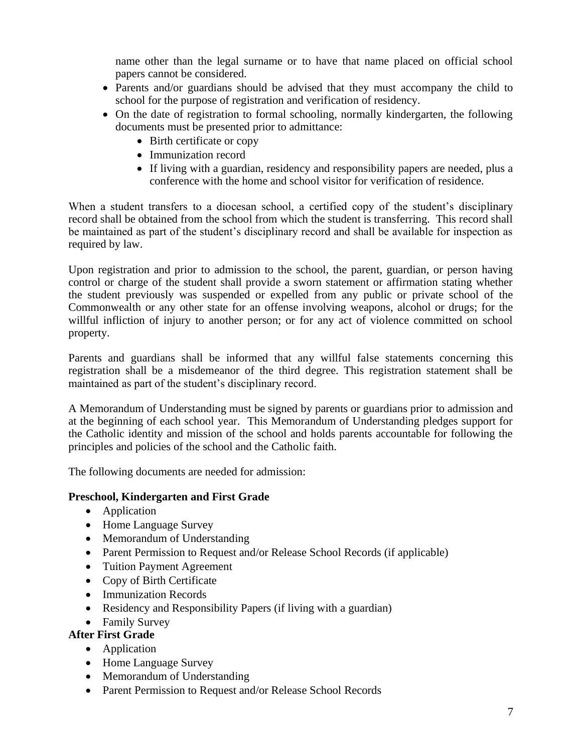name other than the legal surname or to have that name placed on official school papers cannot be considered.

- Parents and/or guardians should be advised that they must accompany the child to school for the purpose of registration and verification of residency.
- On the date of registration to formal schooling, normally kindergarten, the following documents must be presented prior to admittance:
	- Birth certificate or copy
	- Immunization record
	- If living with a guardian, residency and responsibility papers are needed, plus a conference with the home and school visitor for verification of residence.

When a student transfers to a diocesan school, a certified copy of the student's disciplinary record shall be obtained from the school from which the student is transferring. This record shall be maintained as part of the student's disciplinary record and shall be available for inspection as required by law.

Upon registration and prior to admission to the school, the parent, guardian, or person having control or charge of the student shall provide a sworn statement or affirmation stating whether the student previously was suspended or expelled from any public or private school of the Commonwealth or any other state for an offense involving weapons, alcohol or drugs; for the willful infliction of injury to another person; or for any act of violence committed on school property.

Parents and guardians shall be informed that any willful false statements concerning this registration shall be a misdemeanor of the third degree. This registration statement shall be maintained as part of the student's disciplinary record.

A Memorandum of Understanding must be signed by parents or guardians prior to admission and at the beginning of each school year. This Memorandum of Understanding pledges support for the Catholic identity and mission of the school and holds parents accountable for following the principles and policies of the school and the Catholic faith.

The following documents are needed for admission:

#### **Preschool, Kindergarten and First Grade**

- Application
- Home Language Survey
- Memorandum of Understanding
- Parent Permission to Request and/or Release School Records (if applicable)
- Tuition Payment Agreement
- Copy of Birth Certificate
- Immunization Records
- Residency and Responsibility Papers (if living with a guardian)
- Family Survey

#### **After First Grade**

- Application
- Home Language Survey
- Memorandum of Understanding
- Parent Permission to Request and/or Release School Records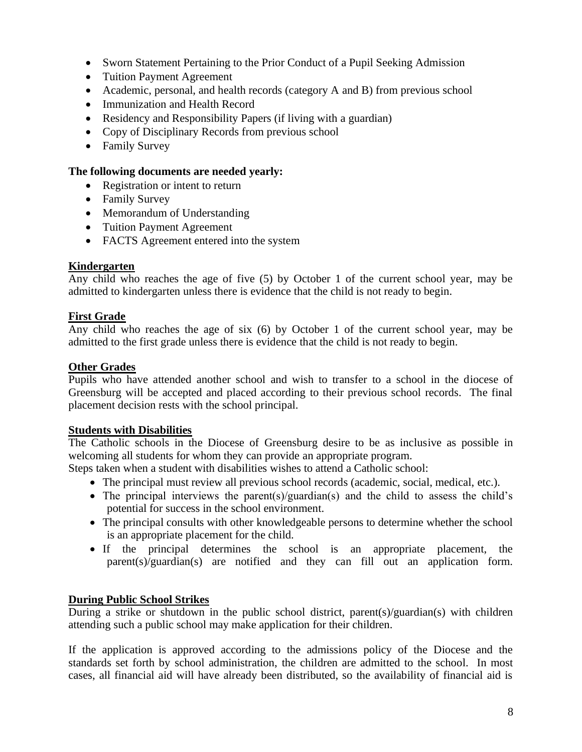- Sworn Statement Pertaining to the Prior Conduct of a Pupil Seeking Admission
- Tuition Payment Agreement
- Academic, personal, and health records (category A and B) from previous school
- Immunization and Health Record
- Residency and Responsibility Papers (if living with a guardian)
- Copy of Disciplinary Records from previous school
- Family Survey

#### **The following documents are needed yearly:**

- Registration or intent to return
- Family Survey
- Memorandum of Understanding
- Tuition Payment Agreement
- FACTS Agreement entered into the system

#### **Kindergarten**

Any child who reaches the age of five (5) by October 1 of the current school year, may be admitted to kindergarten unless there is evidence that the child is not ready to begin.

#### **First Grade**

Any child who reaches the age of six (6) by October 1 of the current school year, may be admitted to the first grade unless there is evidence that the child is not ready to begin.

#### **Other Grades**

Pupils who have attended another school and wish to transfer to a school in the diocese of Greensburg will be accepted and placed according to their previous school records. The final placement decision rests with the school principal.

#### **Students with Disabilities**

The Catholic schools in the Diocese of Greensburg desire to be as inclusive as possible in welcoming all students for whom they can provide an appropriate program.

Steps taken when a student with disabilities wishes to attend a Catholic school:

- The principal must review all previous school records (academic, social, medical, etc.).
- The principal interviews the parent(s)/guardian(s) and the child to assess the child's potential for success in the school environment.
- The principal consults with other knowledgeable persons to determine whether the school is an appropriate placement for the child.
- If the principal determines the school is an appropriate placement, the parent(s)/guardian(s) are notified and they can fill out an application form.

#### **During Public School Strikes**

During a strike or shutdown in the public school district, parent(s)/guardian(s) with children attending such a public school may make application for their children.

If the application is approved according to the admissions policy of the Diocese and the standards set forth by school administration, the children are admitted to the school. In most cases, all financial aid will have already been distributed, so the availability of financial aid is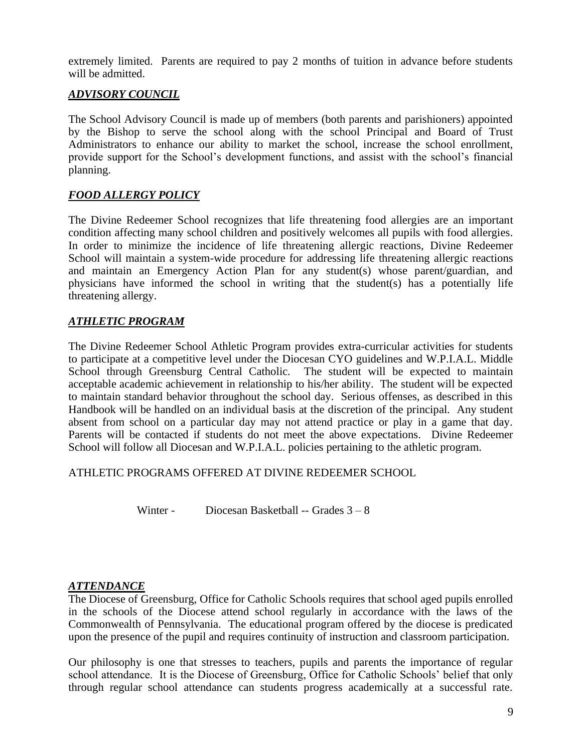extremely limited. Parents are required to pay 2 months of tuition in advance before students will be admitted.

## *ADVISORY COUNCIL*

The School Advisory Council is made up of members (both parents and parishioners) appointed by the Bishop to serve the school along with the school Principal and Board of Trust Administrators to enhance our ability to market the school, increase the school enrollment, provide support for the School's development functions, and assist with the school's financial planning.

## *FOOD ALLERGY POLICY*

The Divine Redeemer School recognizes that life threatening food allergies are an important condition affecting many school children and positively welcomes all pupils with food allergies. In order to minimize the incidence of life threatening allergic reactions, Divine Redeemer School will maintain a system-wide procedure for addressing life threatening allergic reactions and maintain an Emergency Action Plan for any student(s) whose parent/guardian, and physicians have informed the school in writing that the student(s) has a potentially life threatening allergy.

## *ATHLETIC PROGRAM*

The Divine Redeemer School Athletic Program provides extra-curricular activities for students to participate at a competitive level under the Diocesan CYO guidelines and W.P.I.A.L. Middle School through Greensburg Central Catholic. The student will be expected to maintain acceptable academic achievement in relationship to his/her ability. The student will be expected to maintain standard behavior throughout the school day. Serious offenses, as described in this Handbook will be handled on an individual basis at the discretion of the principal. Any student absent from school on a particular day may not attend practice or play in a game that day. Parents will be contacted if students do not meet the above expectations. Divine Redeemer School will follow all Diocesan and W.P.I.A.L. policies pertaining to the athletic program.

ATHLETIC PROGRAMS OFFERED AT DIVINE REDEEMER SCHOOL

Winter - Diocesan Basketball -- Grades  $3-8$ 

#### *ATTENDANCE*

The Diocese of Greensburg, Office for Catholic Schools requires that school aged pupils enrolled in the schools of the Diocese attend school regularly in accordance with the laws of the Commonwealth of Pennsylvania. The educational program offered by the diocese is predicated upon the presence of the pupil and requires continuity of instruction and classroom participation.

Our philosophy is one that stresses to teachers, pupils and parents the importance of regular school attendance. It is the Diocese of Greensburg, Office for Catholic Schools' belief that only through regular school attendance can students progress academically at a successful rate.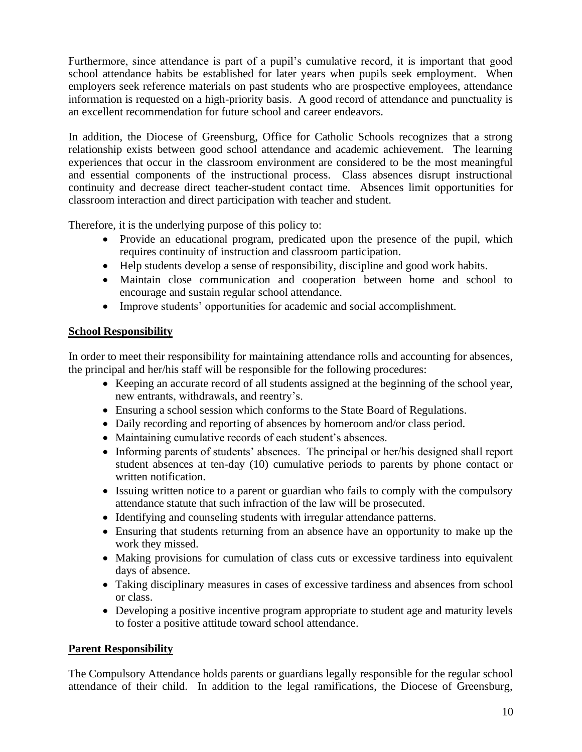Furthermore, since attendance is part of a pupil's cumulative record, it is important that good school attendance habits be established for later years when pupils seek employment. When employers seek reference materials on past students who are prospective employees, attendance information is requested on a high-priority basis. A good record of attendance and punctuality is an excellent recommendation for future school and career endeavors.

In addition, the Diocese of Greensburg, Office for Catholic Schools recognizes that a strong relationship exists between good school attendance and academic achievement. The learning experiences that occur in the classroom environment are considered to be the most meaningful and essential components of the instructional process. Class absences disrupt instructional continuity and decrease direct teacher-student contact time. Absences limit opportunities for classroom interaction and direct participation with teacher and student.

Therefore, it is the underlying purpose of this policy to:

- Provide an educational program, predicated upon the presence of the pupil, which requires continuity of instruction and classroom participation.
- Help students develop a sense of responsibility, discipline and good work habits.
- Maintain close communication and cooperation between home and school to encourage and sustain regular school attendance.
- Improve students' opportunities for academic and social accomplishment.

## **School Responsibility**

In order to meet their responsibility for maintaining attendance rolls and accounting for absences, the principal and her/his staff will be responsible for the following procedures:

- Keeping an accurate record of all students assigned at the beginning of the school year, new entrants, withdrawals, and reentry's.
- Ensuring a school session which conforms to the State Board of Regulations.
- Daily recording and reporting of absences by homeroom and/or class period.
- Maintaining cumulative records of each student's absences.
- Informing parents of students' absences. The principal or her/his designed shall report student absences at ten-day (10) cumulative periods to parents by phone contact or written notification.
- Issuing written notice to a parent or guardian who fails to comply with the compulsory attendance statute that such infraction of the law will be prosecuted.
- Identifying and counseling students with irregular attendance patterns.
- Ensuring that students returning from an absence have an opportunity to make up the work they missed.
- Making provisions for cumulation of class cuts or excessive tardiness into equivalent days of absence.
- Taking disciplinary measures in cases of excessive tardiness and absences from school or class.
- Developing a positive incentive program appropriate to student age and maturity levels to foster a positive attitude toward school attendance.

#### **Parent Responsibility**

The Compulsory Attendance holds parents or guardians legally responsible for the regular school attendance of their child. In addition to the legal ramifications, the Diocese of Greensburg,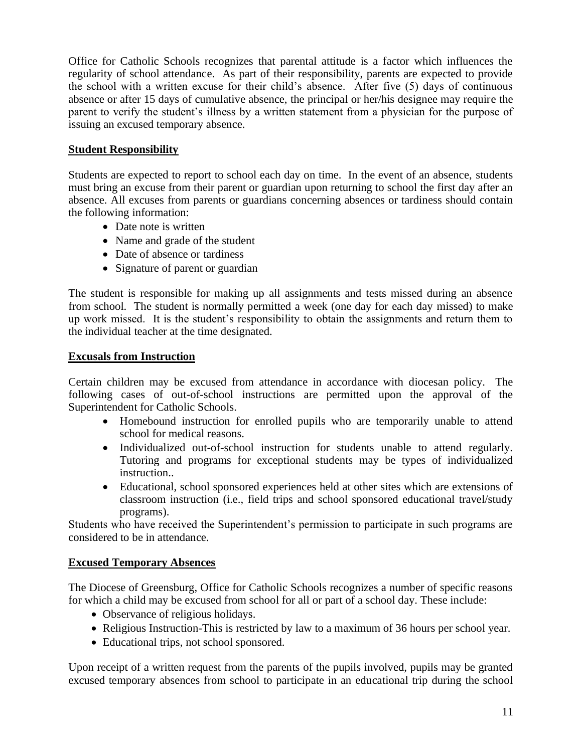Office for Catholic Schools recognizes that parental attitude is a factor which influences the regularity of school attendance. As part of their responsibility, parents are expected to provide the school with a written excuse for their child's absence. After five (5) days of continuous absence or after 15 days of cumulative absence, the principal or her/his designee may require the parent to verify the student's illness by a written statement from a physician for the purpose of issuing an excused temporary absence.

#### **Student Responsibility**

Students are expected to report to school each day on time. In the event of an absence, students must bring an excuse from their parent or guardian upon returning to school the first day after an absence. All excuses from parents or guardians concerning absences or tardiness should contain the following information:

- Date note is written
- Name and grade of the student
- Date of absence or tardiness
- Signature of parent or guardian

The student is responsible for making up all assignments and tests missed during an absence from school. The student is normally permitted a week (one day for each day missed) to make up work missed. It is the student's responsibility to obtain the assignments and return them to the individual teacher at the time designated.

#### **Excusals from Instruction**

Certain children may be excused from attendance in accordance with diocesan policy. The following cases of out-of-school instructions are permitted upon the approval of the Superintendent for Catholic Schools.

- Homebound instruction for enrolled pupils who are temporarily unable to attend school for medical reasons.
- Individualized out-of-school instruction for students unable to attend regularly. Tutoring and programs for exceptional students may be types of individualized instruction..
- Educational, school sponsored experiences held at other sites which are extensions of classroom instruction (i.e., field trips and school sponsored educational travel/study programs).

Students who have received the Superintendent's permission to participate in such programs are considered to be in attendance.

#### **Excused Temporary Absences**

The Diocese of Greensburg, Office for Catholic Schools recognizes a number of specific reasons for which a child may be excused from school for all or part of a school day. These include:

- Observance of religious holidays.
- Religious Instruction-This is restricted by law to a maximum of 36 hours per school year.
- Educational trips, not school sponsored.

Upon receipt of a written request from the parents of the pupils involved, pupils may be granted excused temporary absences from school to participate in an educational trip during the school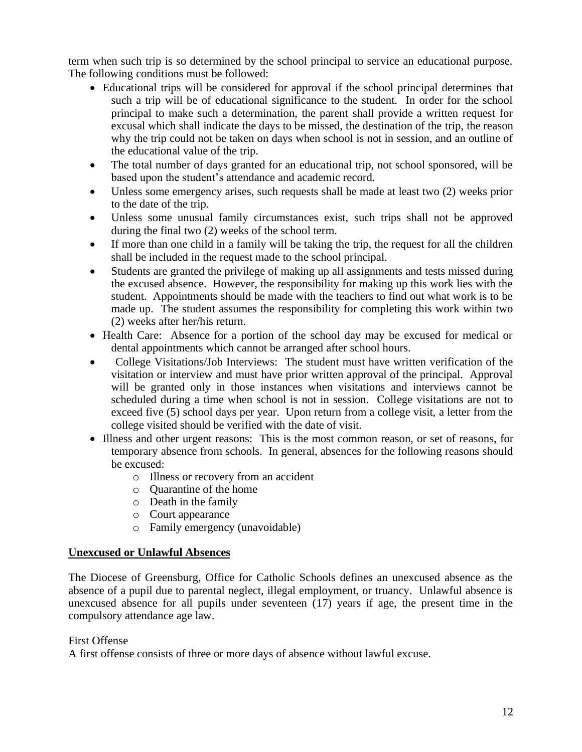term when such trip is so determined by the school principal to service an educational purpose. The following conditions must be followed:

- Educational trips will be considered for approval if the school principal determines that such a trip will be of educational significance to the student. In order for the school principal to make such a determination, the parent shall provide a written request for excusal which shall indicate the days to be missed, the destination of the trip, the reason why the trip could not be taken on days when school is not in session, and an outline of the educational value of the trip.
- The total number of days granted for an educational trip, not school sponsored, will be based upon the student's attendance and academic record.
- Unless some emergency arises, such requests shall be made at least two  $(2)$  weeks prior to the date of the trip.
- Unless some unusual family circumstances exist, such trips shall not be approved during the final two (2) weeks of the school term.
- If more than one child in a family will be taking the trip, the request for all the children shall be included in the request made to the school principal.
- Students are granted the privilege of making up all assignments and tests missed during the excused absence. However, the responsibility for making up this work lies with the student. Appointments should be made with the teachers to find out what work is to be made up. The student assumes the responsibility for completing this work within two (2) weeks after her/his return.
- Health Care: Absence for a portion of the school day may be excused for medical or dental appointments which cannot be arranged after school hours.
- College Visitations/Job Interviews: The student must have written verification of the visitation or interview and must have prior written approval of the principal. Approval will be granted only in those instances when visitations and interviews cannot be scheduled during a time when school is not in session. College visitations are not to exceed five (5) school days per year. Upon return from a college visit, a letter from the college visited should be verified with the date of visit.
- Illness and other urgent reasons: This is the most common reason, or set of reasons, for temporary absence from schools. In general, absences for the following reasons should be excused:
	- o Illness or recovery from an accident
	- o Quarantine of the home
	- o Death in the family
	- o Court appearance
	- o Family emergency (unavoidable)

#### **Unexcused or Unlawful Absences**

The Diocese of Greensburg, Office for Catholic Schools defines an unexcused absence as the absence of a pupil due to parental neglect, illegal employment, or truancy. Unlawful absence is unexcused absence for all pupils under seventeen (17) years if age, the present time in the compulsory attendance age law.

#### First Offense

A first offense consists of three or more days of absence without lawful excuse.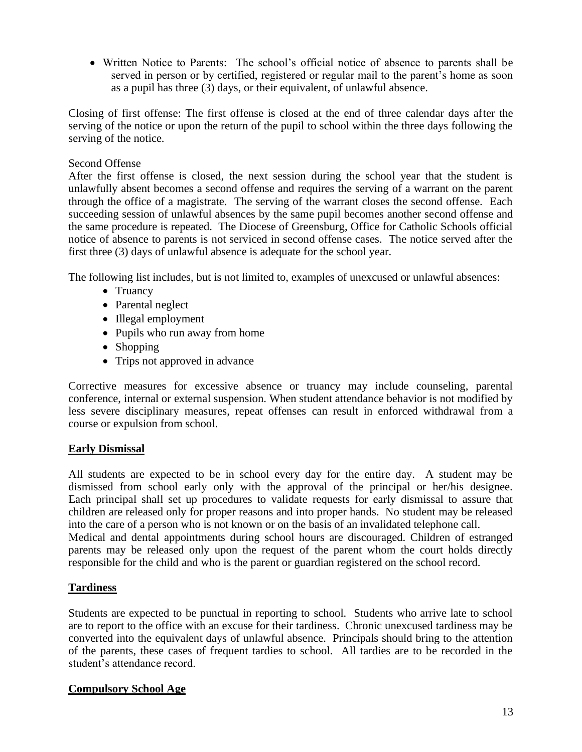• Written Notice to Parents: The school's official notice of absence to parents shall be served in person or by certified, registered or regular mail to the parent's home as soon as a pupil has three (3) days, or their equivalent, of unlawful absence.

Closing of first offense: The first offense is closed at the end of three calendar days after the serving of the notice or upon the return of the pupil to school within the three days following the serving of the notice.

#### Second Offense

After the first offense is closed, the next session during the school year that the student is unlawfully absent becomes a second offense and requires the serving of a warrant on the parent through the office of a magistrate. The serving of the warrant closes the second offense. Each succeeding session of unlawful absences by the same pupil becomes another second offense and the same procedure is repeated. The Diocese of Greensburg, Office for Catholic Schools official notice of absence to parents is not serviced in second offense cases. The notice served after the first three (3) days of unlawful absence is adequate for the school year.

The following list includes, but is not limited to, examples of unexcused or unlawful absences:

- Truancy
- Parental neglect
- Illegal employment
- Pupils who run away from home
- Shopping
- Trips not approved in advance

Corrective measures for excessive absence or truancy may include counseling, parental conference, internal or external suspension. When student attendance behavior is not modified by less severe disciplinary measures, repeat offenses can result in enforced withdrawal from a course or expulsion from school.

#### **Early Dismissal**

All students are expected to be in school every day for the entire day. A student may be dismissed from school early only with the approval of the principal or her/his designee. Each principal shall set up procedures to validate requests for early dismissal to assure that children are released only for proper reasons and into proper hands. No student may be released into the care of a person who is not known or on the basis of an invalidated telephone call. Medical and dental appointments during school hours are discouraged. Children of estranged

parents may be released only upon the request of the parent whom the court holds directly responsible for the child and who is the parent or guardian registered on the school record.

#### **Tardiness**

Students are expected to be punctual in reporting to school. Students who arrive late to school are to report to the office with an excuse for their tardiness. Chronic unexcused tardiness may be converted into the equivalent days of unlawful absence. Principals should bring to the attention of the parents, these cases of frequent tardies to school. All tardies are to be recorded in the student's attendance record.

#### **Compulsory School Age**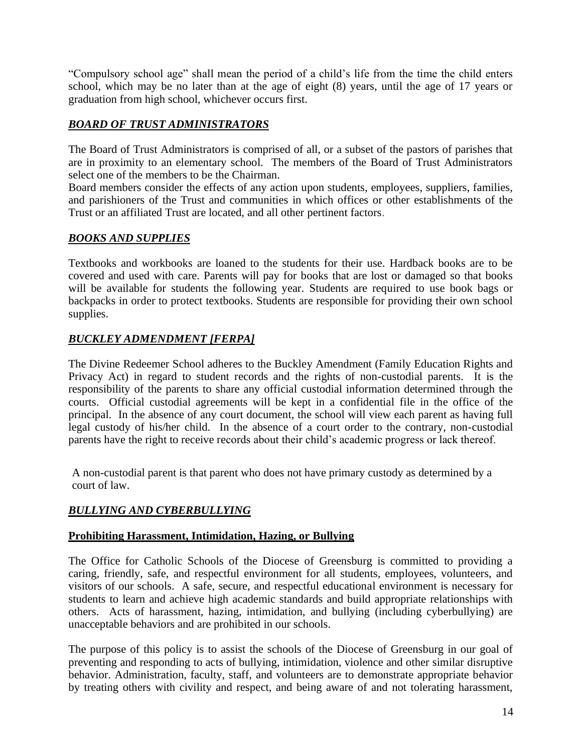"Compulsory school age" shall mean the period of a child's life from the time the child enters school, which may be no later than at the age of eight (8) years, until the age of 17 years or graduation from high school, whichever occurs first.

## *BOARD OF TRUST ADMINISTRATORS*

The Board of Trust Administrators is comprised of all, or a subset of the pastors of parishes that are in proximity to an elementary school. The members of the Board of Trust Administrators select one of the members to be the Chairman.

Board members consider the effects of any action upon students, employees, suppliers, families, and parishioners of the Trust and communities in which offices or other establishments of the Trust or an affiliated Trust are located, and all other pertinent factors.

## *BOOKS AND SUPPLIES*

Textbooks and workbooks are loaned to the students for their use. Hardback books are to be covered and used with care. Parents will pay for books that are lost or damaged so that books will be available for students the following year. Students are required to use book bags or backpacks in order to protect textbooks. Students are responsible for providing their own school supplies.

## *BUCKLEY ADMENDMENT [FERPA]*

The Divine Redeemer School adheres to the Buckley Amendment (Family Education Rights and Privacy Act) in regard to student records and the rights of non-custodial parents. It is the responsibility of the parents to share any official custodial information determined through the courts. Official custodial agreements will be kept in a confidential file in the office of the principal. In the absence of any court document, the school will view each parent as having full legal custody of his/her child. In the absence of a court order to the contrary, non-custodial parents have the right to receive records about their child's academic progress or lack thereof.

A non-custodial parent is that parent who does not have primary custody as determined by a court of law.

#### *BULLYING AND CYBERBULLYING*

#### **Prohibiting Harassment, Intimidation, Hazing, or Bullying**

The Office for Catholic Schools of the Diocese of Greensburg is committed to providing a caring, friendly, safe, and respectful environment for all students, employees, volunteers, and visitors of our schools. A safe, secure, and respectful educational environment is necessary for students to learn and achieve high academic standards and build appropriate relationships with others. Acts of harassment, hazing, intimidation, and bullying (including cyberbullying) are unacceptable behaviors and are prohibited in our schools.

The purpose of this policy is to assist the schools of the Diocese of Greensburg in our goal of preventing and responding to acts of bullying, intimidation, violence and other similar disruptive behavior. Administration, faculty, staff, and volunteers are to demonstrate appropriate behavior by treating others with civility and respect, and being aware of and not tolerating harassment,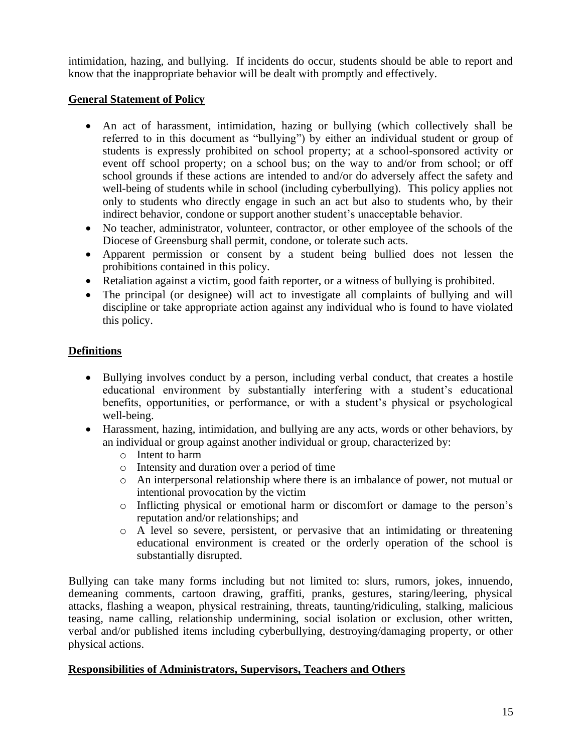intimidation, hazing, and bullying. If incidents do occur, students should be able to report and know that the inappropriate behavior will be dealt with promptly and effectively.

#### **General Statement of Policy**

- An act of harassment, intimidation, hazing or bullying (which collectively shall be referred to in this document as "bullying") by either an individual student or group of students is expressly prohibited on school property; at a school-sponsored activity or event off school property; on a school bus; on the way to and/or from school; or off school grounds if these actions are intended to and/or do adversely affect the safety and well-being of students while in school (including cyberbullying). This policy applies not only to students who directly engage in such an act but also to students who, by their indirect behavior, condone or support another student's unacceptable behavior.
- No teacher, administrator, volunteer, contractor, or other employee of the schools of the Diocese of Greensburg shall permit, condone, or tolerate such acts.
- Apparent permission or consent by a student being bullied does not lessen the prohibitions contained in this policy.
- Retaliation against a victim, good faith reporter, or a witness of bullying is prohibited.
- The principal (or designee) will act to investigate all complaints of bullying and will discipline or take appropriate action against any individual who is found to have violated this policy.

## **Definitions**

- Bullying involves conduct by a person, including verbal conduct, that creates a hostile educational environment by substantially interfering with a student's educational benefits, opportunities, or performance, or with a student's physical or psychological well-being.
- Harassment, hazing, intimidation, and bullying are any acts, words or other behaviors, by an individual or group against another individual or group, characterized by:
	- o Intent to harm
	- o Intensity and duration over a period of time
	- o An interpersonal relationship where there is an imbalance of power, not mutual or intentional provocation by the victim
	- o Inflicting physical or emotional harm or discomfort or damage to the person's reputation and/or relationships; and
	- o A level so severe, persistent, or pervasive that an intimidating or threatening educational environment is created or the orderly operation of the school is substantially disrupted.

Bullying can take many forms including but not limited to: slurs, rumors, jokes, innuendo, demeaning comments, cartoon drawing, graffiti, pranks, gestures, staring/leering, physical attacks, flashing a weapon, physical restraining, threats, taunting/ridiculing, stalking, malicious teasing, name calling, relationship undermining, social isolation or exclusion, other written, verbal and/or published items including cyberbullying, destroying/damaging property, or other physical actions.

#### **Responsibilities of Administrators, Supervisors, Teachers and Others**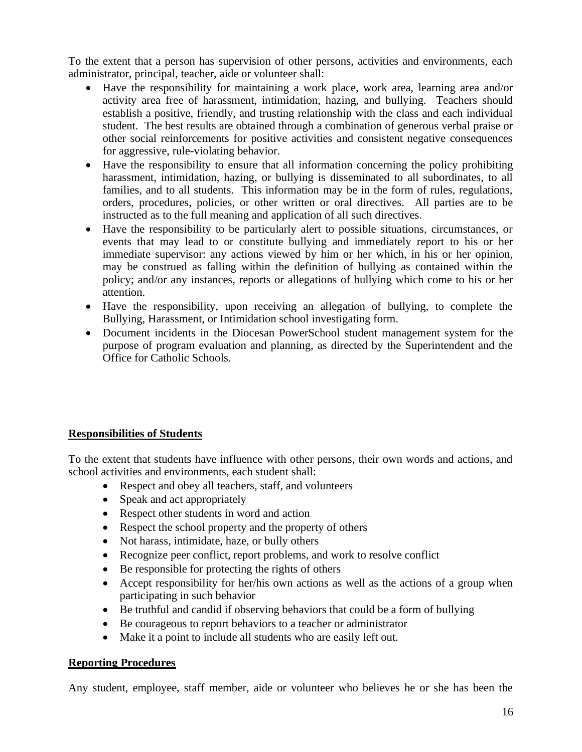To the extent that a person has supervision of other persons, activities and environments, each administrator, principal, teacher, aide or volunteer shall:

- Have the responsibility for maintaining a work place, work area, learning area and/or activity area free of harassment, intimidation, hazing, and bullying. Teachers should establish a positive, friendly, and trusting relationship with the class and each individual student. The best results are obtained through a combination of generous verbal praise or other social reinforcements for positive activities and consistent negative consequences for aggressive, rule-violating behavior.
- Have the responsibility to ensure that all information concerning the policy prohibiting harassment, intimidation, hazing, or bullying is disseminated to all subordinates, to all families, and to all students. This information may be in the form of rules, regulations, orders, procedures, policies, or other written or oral directives. All parties are to be instructed as to the full meaning and application of all such directives.
- Have the responsibility to be particularly alert to possible situations, circumstances, or events that may lead to or constitute bullying and immediately report to his or her immediate supervisor: any actions viewed by him or her which, in his or her opinion, may be construed as falling within the definition of bullying as contained within the policy; and/or any instances, reports or allegations of bullying which come to his or her attention.
- Have the responsibility, upon receiving an allegation of bullying, to complete the Bullying, Harassment, or Intimidation school investigating form.
- Document incidents in the Diocesan PowerSchool student management system for the purpose of program evaluation and planning, as directed by the Superintendent and the Office for Catholic Schools.

#### **Responsibilities of Students**

To the extent that students have influence with other persons, their own words and actions, and school activities and environments, each student shall:

- Respect and obey all teachers, staff, and volunteers
- Speak and act appropriately
- Respect other students in word and action
- Respect the school property and the property of others
- Not harass, intimidate, haze, or bully others
- Recognize peer conflict, report problems, and work to resolve conflict
- Be responsible for protecting the rights of others
- Accept responsibility for her/his own actions as well as the actions of a group when participating in such behavior
- Be truthful and candid if observing behaviors that could be a form of bullying
- Be courageous to report behaviors to a teacher or administrator
- Make it a point to include all students who are easily left out.

#### **Reporting Procedures**

Any student, employee, staff member, aide or volunteer who believes he or she has been the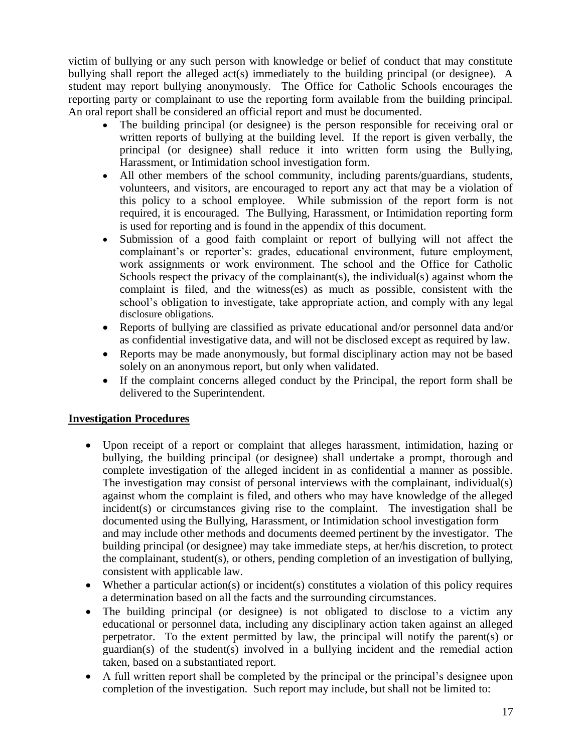victim of bullying or any such person with knowledge or belief of conduct that may constitute bullying shall report the alleged act(s) immediately to the building principal (or designee). A student may report bullying anonymously. The Office for Catholic Schools encourages the reporting party or complainant to use the reporting form available from the building principal. An oral report shall be considered an official report and must be documented.

- The building principal (or designee) is the person responsible for receiving oral or written reports of bullying at the building level. If the report is given verbally, the principal (or designee) shall reduce it into written form using the Bullying, Harassment, or Intimidation school investigation form.
- All other members of the school community, including parents/guardians, students, volunteers, and visitors, are encouraged to report any act that may be a violation of this policy to a school employee. While submission of the report form is not required, it is encouraged. The Bullying, Harassment, or Intimidation reporting form is used for reporting and is found in the appendix of this document.
- Submission of a good faith complaint or report of bullying will not affect the complainant's or reporter's: grades, educational environment, future employment, work assignments or work environment. The school and the Office for Catholic Schools respect the privacy of the complainant(s), the individual(s) against whom the complaint is filed, and the witness(es) as much as possible, consistent with the school's obligation to investigate, take appropriate action, and comply with any legal disclosure obligations.
- Reports of bullying are classified as private educational and/or personnel data and/or as confidential investigative data, and will not be disclosed except as required by law.
- Reports may be made anonymously, but formal disciplinary action may not be based solely on an anonymous report, but only when validated.
- If the complaint concerns alleged conduct by the Principal, the report form shall be delivered to the Superintendent.

#### **Investigation Procedures**

- Upon receipt of a report or complaint that alleges harassment, intimidation, hazing or bullying, the building principal (or designee) shall undertake a prompt, thorough and complete investigation of the alleged incident in as confidential a manner as possible. The investigation may consist of personal interviews with the complainant, individual(s) against whom the complaint is filed, and others who may have knowledge of the alleged incident(s) or circumstances giving rise to the complaint. The investigation shall be documented using the Bullying, Harassment, or Intimidation school investigation form and may include other methods and documents deemed pertinent by the investigator. The building principal (or designee) may take immediate steps, at her/his discretion, to protect the complainant, student(s), or others, pending completion of an investigation of bullying, consistent with applicable law.
- Whether a particular action(s) or incident(s) constitutes a violation of this policy requires a determination based on all the facts and the surrounding circumstances.
- The building principal (or designee) is not obligated to disclose to a victim any educational or personnel data, including any disciplinary action taken against an alleged perpetrator. To the extent permitted by law, the principal will notify the parent(s) or guardian(s) of the student(s) involved in a bullying incident and the remedial action taken, based on a substantiated report.
- A full written report shall be completed by the principal or the principal's designee upon completion of the investigation. Such report may include, but shall not be limited to: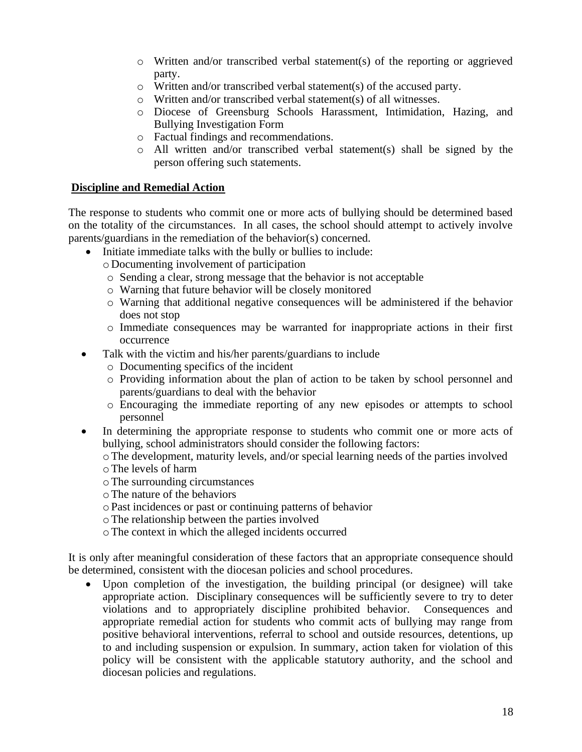- o Written and/or transcribed verbal statement(s) of the reporting or aggrieved party.
- o Written and/or transcribed verbal statement(s) of the accused party.
- o Written and/or transcribed verbal statement(s) of all witnesses.
- o Diocese of Greensburg Schools Harassment, Intimidation, Hazing, and Bullying Investigation Form
- o Factual findings and recommendations.
- o All written and/or transcribed verbal statement(s) shall be signed by the person offering such statements.

#### **Discipline and Remedial Action**

The response to students who commit one or more acts of bullying should be determined based on the totality of the circumstances. In all cases, the school should attempt to actively involve parents/guardians in the remediation of the behavior(s) concerned.

- Initiate immediate talks with the bully or bullies to include:
	- o Documenting involvement of participation
	- o Sending a clear, strong message that the behavior is not acceptable
	- o Warning that future behavior will be closely monitored
	- o Warning that additional negative consequences will be administered if the behavior does not stop
	- o Immediate consequences may be warranted for inappropriate actions in their first occurrence
- Talk with the victim and his/her parents/guardians to include
	- o Documenting specifics of the incident
	- o Providing information about the plan of action to be taken by school personnel and parents/guardians to deal with the behavior
	- o Encouraging the immediate reporting of any new episodes or attempts to school personnel
- In determining the appropriate response to students who commit one or more acts of bullying, school administrators should consider the following factors:

oThe development, maturity levels, and/or special learning needs of the parties involved oThe levels of harm

- oThe surrounding circumstances
- oThe nature of the behaviors
- oPast incidences or past or continuing patterns of behavior
- oThe relationship between the parties involved
- oThe context in which the alleged incidents occurred

It is only after meaningful consideration of these factors that an appropriate consequence should be determined, consistent with the diocesan policies and school procedures.

• Upon completion of the investigation, the building principal (or designee) will take appropriate action. Disciplinary consequences will be sufficiently severe to try to deter violations and to appropriately discipline prohibited behavior. Consequences and appropriate remedial action for students who commit acts of bullying may range from positive behavioral interventions, referral to school and outside resources, detentions, up to and including suspension or expulsion. In summary, action taken for violation of this policy will be consistent with the applicable statutory authority, and the school and diocesan policies and regulations.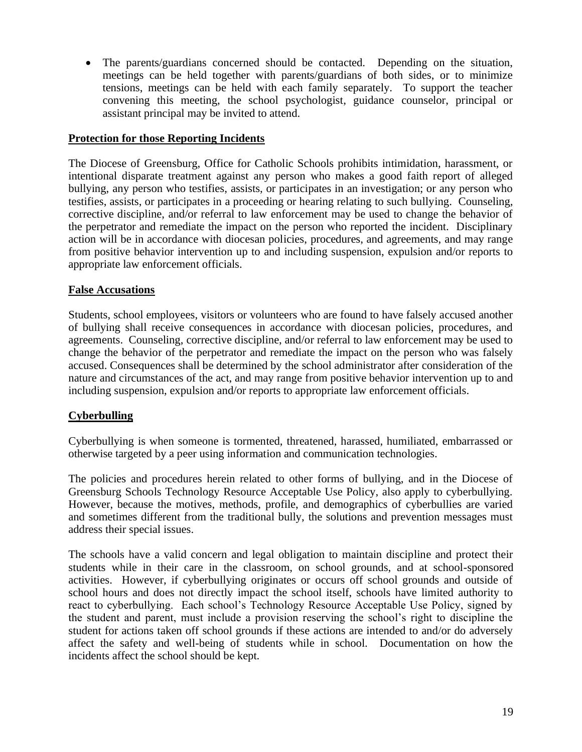• The parents/guardians concerned should be contacted. Depending on the situation, meetings can be held together with parents/guardians of both sides, or to minimize tensions, meetings can be held with each family separately. To support the teacher convening this meeting, the school psychologist, guidance counselor, principal or assistant principal may be invited to attend.

#### **Protection for those Reporting Incidents**

The Diocese of Greensburg, Office for Catholic Schools prohibits intimidation, harassment, or intentional disparate treatment against any person who makes a good faith report of alleged bullying, any person who testifies, assists, or participates in an investigation; or any person who testifies, assists, or participates in a proceeding or hearing relating to such bullying. Counseling, corrective discipline, and/or referral to law enforcement may be used to change the behavior of the perpetrator and remediate the impact on the person who reported the incident. Disciplinary action will be in accordance with diocesan policies, procedures, and agreements, and may range from positive behavior intervention up to and including suspension, expulsion and/or reports to appropriate law enforcement officials.

#### **False Accusations**

Students, school employees, visitors or volunteers who are found to have falsely accused another of bullying shall receive consequences in accordance with diocesan policies, procedures, and agreements. Counseling, corrective discipline, and/or referral to law enforcement may be used to change the behavior of the perpetrator and remediate the impact on the person who was falsely accused. Consequences shall be determined by the school administrator after consideration of the nature and circumstances of the act, and may range from positive behavior intervention up to and including suspension, expulsion and/or reports to appropriate law enforcement officials.

#### **Cyberbulling**

Cyberbullying is when someone is tormented, threatened, harassed, humiliated, embarrassed or otherwise targeted by a peer using information and communication technologies.

The policies and procedures herein related to other forms of bullying, and in the Diocese of Greensburg Schools Technology Resource Acceptable Use Policy, also apply to cyberbullying. However, because the motives, methods, profile, and demographics of cyberbullies are varied and sometimes different from the traditional bully, the solutions and prevention messages must address their special issues.

The schools have a valid concern and legal obligation to maintain discipline and protect their students while in their care in the classroom, on school grounds, and at school-sponsored activities. However, if cyberbullying originates or occurs off school grounds and outside of school hours and does not directly impact the school itself, schools have limited authority to react to cyberbullying. Each school's Technology Resource Acceptable Use Policy, signed by the student and parent, must include a provision reserving the school's right to discipline the student for actions taken off school grounds if these actions are intended to and/or do adversely affect the safety and well-being of students while in school. Documentation on how the incidents affect the school should be kept.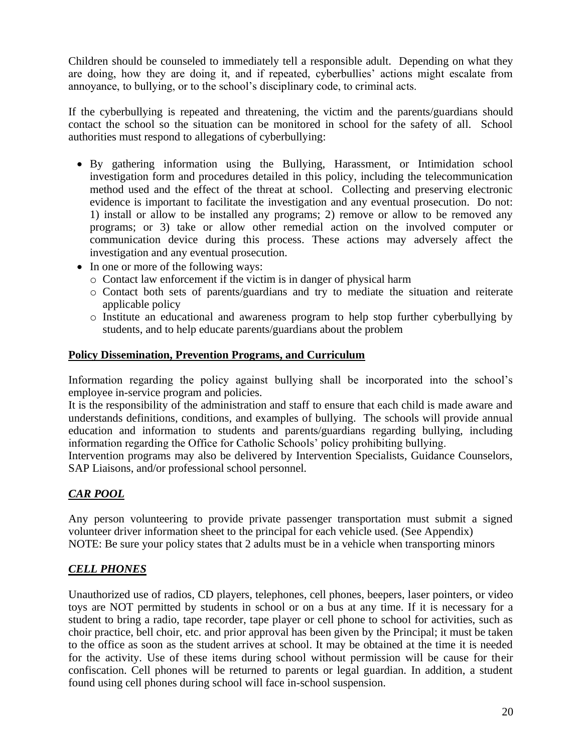Children should be counseled to immediately tell a responsible adult. Depending on what they are doing, how they are doing it, and if repeated, cyberbullies' actions might escalate from annoyance, to bullying, or to the school's disciplinary code, to criminal acts.

If the cyberbullying is repeated and threatening, the victim and the parents/guardians should contact the school so the situation can be monitored in school for the safety of all. School authorities must respond to allegations of cyberbullying:

- By gathering information using the Bullying, Harassment, or Intimidation school investigation form and procedures detailed in this policy, including the telecommunication method used and the effect of the threat at school. Collecting and preserving electronic evidence is important to facilitate the investigation and any eventual prosecution. Do not: 1) install or allow to be installed any programs; 2) remove or allow to be removed any programs; or 3) take or allow other remedial action on the involved computer or communication device during this process. These actions may adversely affect the investigation and any eventual prosecution.
- In one or more of the following ways:
	- o Contact law enforcement if the victim is in danger of physical harm
	- o Contact both sets of parents/guardians and try to mediate the situation and reiterate applicable policy
	- o Institute an educational and awareness program to help stop further cyberbullying by students, and to help educate parents/guardians about the problem

#### **Policy Dissemination, Prevention Programs, and Curriculum**

Information regarding the policy against bullying shall be incorporated into the school's employee in-service program and policies.

It is the responsibility of the administration and staff to ensure that each child is made aware and understands definitions, conditions, and examples of bullying. The schools will provide annual education and information to students and parents/guardians regarding bullying, including information regarding the Office for Catholic Schools' policy prohibiting bullying.

Intervention programs may also be delivered by Intervention Specialists, Guidance Counselors, SAP Liaisons, and/or professional school personnel.

## *CAR POOL*

Any person volunteering to provide private passenger transportation must submit a signed volunteer driver information sheet to the principal for each vehicle used. (See Appendix) NOTE: Be sure your policy states that 2 adults must be in a vehicle when transporting minors

#### *CELL PHONES*

Unauthorized use of radios, CD players, telephones, cell phones, beepers, laser pointers, or video toys are NOT permitted by students in school or on a bus at any time. If it is necessary for a student to bring a radio, tape recorder, tape player or cell phone to school for activities, such as choir practice, bell choir, etc. and prior approval has been given by the Principal; it must be taken to the office as soon as the student arrives at school. It may be obtained at the time it is needed for the activity. Use of these items during school without permission will be cause for their confiscation. Cell phones will be returned to parents or legal guardian. In addition, a student found using cell phones during school will face in-school suspension.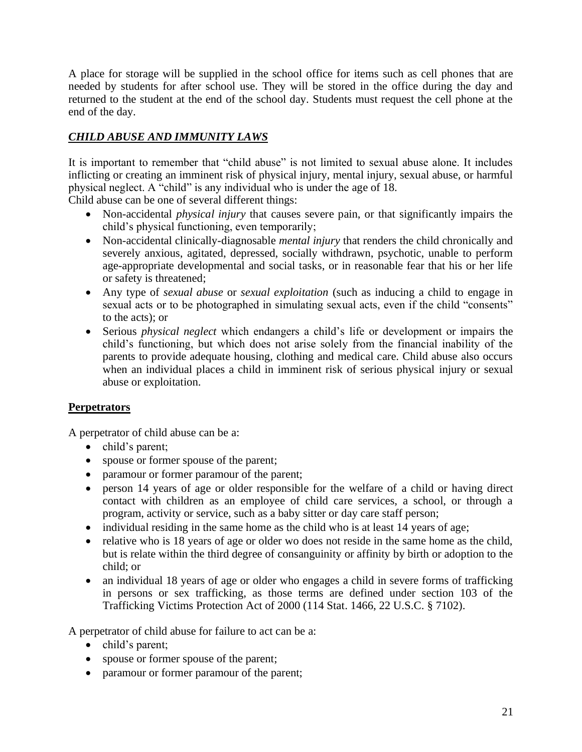A place for storage will be supplied in the school office for items such as cell phones that are needed by students for after school use. They will be stored in the office during the day and returned to the student at the end of the school day. Students must request the cell phone at the end of the day.

## *CHILD ABUSE AND IMMUNITY LAWS*

It is important to remember that "child abuse" is not limited to sexual abuse alone. It includes inflicting or creating an imminent risk of physical injury, mental injury, sexual abuse, or harmful physical neglect. A "child" is any individual who is under the age of 18.

Child abuse can be one of several different things:

- Non-accidental *physical injury* that causes severe pain, or that significantly impairs the child's physical functioning, even temporarily;
- Non-accidental clinically-diagnosable *mental injury* that renders the child chronically and severely anxious, agitated, depressed, socially withdrawn, psychotic, unable to perform age-appropriate developmental and social tasks, or in reasonable fear that his or her life or safety is threatened;
- Any type of *sexual abuse* or *sexual exploitation* (such as inducing a child to engage in sexual acts or to be photographed in simulating sexual acts, even if the child "consents" to the acts); or
- Serious *physical neglect* which endangers a child's life or development or impairs the child's functioning, but which does not arise solely from the financial inability of the parents to provide adequate housing, clothing and medical care. Child abuse also occurs when an individual places a child in imminent risk of serious physical injury or sexual abuse or exploitation.

#### **Perpetrators**

A perpetrator of child abuse can be a:

- child's parent;
- spouse or former spouse of the parent;
- paramour or former paramour of the parent;
- person 14 years of age or older responsible for the welfare of a child or having direct contact with children as an employee of child care services, a school, or through a program, activity or service, such as a baby sitter or day care staff person;
- individual residing in the same home as the child who is at least 14 years of age;
- relative who is 18 years of age or older wo does not reside in the same home as the child, but is relate within the third degree of consanguinity or affinity by birth or adoption to the child; or
- an individual 18 years of age or older who engages a child in severe forms of trafficking in persons or sex trafficking, as those terms are defined under section 103 of the Trafficking Victims Protection Act of 2000 (114 Stat. 1466, 22 U.S.C. § 7102).

A perpetrator of child abuse for failure to act can be a:

- child's parent;
- spouse or former spouse of the parent;
- paramour or former paramour of the parent;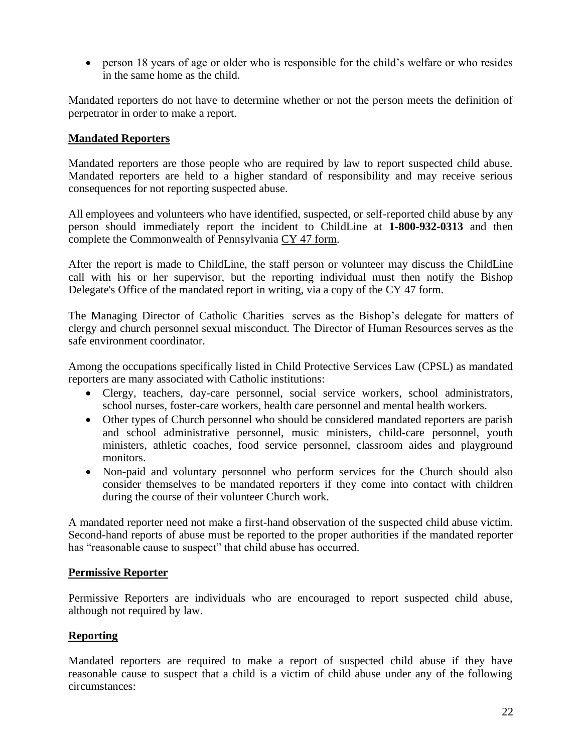• person 18 years of age or older who is responsible for the child's welfare or who resides in the same home as the child.

Mandated reporters do not have to determine whether or not the person meets the definition of perpetrator in order to make a report.

#### **Mandated Reporters**

Mandated reporters are those people who are required by law to report suspected child abuse. Mandated reporters are held to a higher standard of responsibility and may receive serious consequences for not reporting suspected abuse.

All employees and volunteers who have identified, suspected, or self-reported child abuse by any person should immediately report the incident to ChildLine at **1-800-932-0313** and then complete the Commonwealth of Pennsylvania [CY 47 form.](http://www.dioceseofgreensburg.org/about/Documents/CY47Form.pdf)

After the report is made to ChildLine, the staff person or volunteer may discuss the ChildLine call with his or her supervisor, but the reporting individual must then notify the Bishop Delegate's Office of the mandated report in writing, via a copy of the [CY 47 form.](http://www.dioceseofgreensburg.org/about/Documents/CY47Form.pdf)

[The Managing Director of Catholic Charities](mailto:rriffle@dioceseofgreensburg.org) serves as the Bishop's delegate for matters of clergy and church personnel sexual misconduct. The Director of Human Resources serves as the safe environment coordinator.

Among the occupations specifically listed in Child Protective Services Law (CPSL) as mandated reporters are many associated with Catholic institutions:

- Clergy, teachers, day-care personnel, social service workers, school administrators, school nurses, foster-care workers, health care personnel and mental health workers.
- Other types of Church personnel who should be considered mandated reporters are parish and school administrative personnel, music ministers, child-care personnel, youth ministers, athletic coaches, food service personnel, classroom aides and playground monitors.
- Non-paid and voluntary personnel who perform services for the Church should also consider themselves to be mandated reporters if they come into contact with children during the course of their volunteer Church work.

A mandated reporter need not make a first-hand observation of the suspected child abuse victim. Second-hand reports of abuse must be reported to the proper authorities if the mandated reporter has "reasonable cause to suspect" that child abuse has occurred.

#### **Permissive Reporter**

Permissive Reporters are individuals who are encouraged to report suspected child abuse, although not required by law.

#### **Reporting**

Mandated reporters are required to make a report of suspected child abuse if they have reasonable cause to suspect that a child is a victim of child abuse under any of the following circumstances: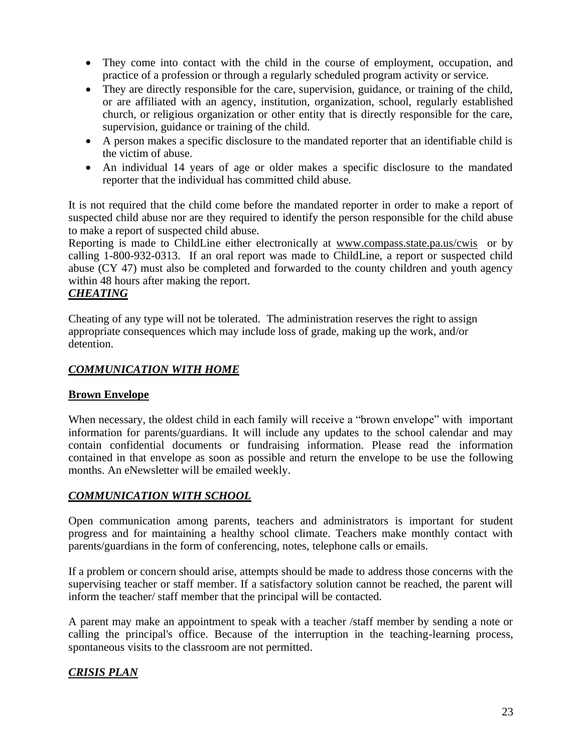- They come into contact with the child in the course of employment, occupation, and practice of a profession or through a regularly scheduled program activity or service.
- They are directly responsible for the care, supervision, guidance, or training of the child, or are affiliated with an agency, institution, organization, school, regularly established church, or religious organization or other entity that is directly responsible for the care, supervision, guidance or training of the child.
- A person makes a specific disclosure to the mandated reporter that an identifiable child is the victim of abuse.
- An individual 14 years of age or older makes a specific disclosure to the mandated reporter that the individual has committed child abuse.

It is not required that the child come before the mandated reporter in order to make a report of suspected child abuse nor are they required to identify the person responsible for the child abuse to make a report of suspected child abuse.

Reporting is made to ChildLine either electronically at [www.compass.state.pa.us/cwis](http://www.compass.state.pa.us/cwis) or by calling 1-800-932-0313. If an oral report was made to ChildLine, a report or suspected child abuse (CY 47) must also be completed and forwarded to the county children and youth agency within 48 hours after making the report.

#### *CHEATING*

Cheating of any type will not be tolerated. The administration reserves the right to assign appropriate consequences which may include loss of grade, making up the work, and/or detention.

#### *COMMUNICATION WITH HOME*

#### **Brown Envelope**

When necessary, the oldest child in each family will receive a "brown envelope" with important information for parents/guardians. It will include any updates to the school calendar and may contain confidential documents or fundraising information. Please read the information contained in that envelope as soon as possible and return the envelope to be use the following months. An eNewsletter will be emailed weekly.

#### *COMMUNICATION WITH SCHOOL*

Open communication among parents, teachers and administrators is important for student progress and for maintaining a healthy school climate. Teachers make monthly contact with parents/guardians in the form of conferencing, notes, telephone calls or emails.

If a problem or concern should arise, attempts should be made to address those concerns with the supervising teacher or staff member. If a satisfactory solution cannot be reached, the parent will inform the teacher/ staff member that the principal will be contacted.

A parent may make an appointment to speak with a teacher /staff member by sending a note or calling the principal's office. Because of the interruption in the teaching-learning process, spontaneous visits to the classroom are not permitted.

#### *CRISIS PLAN*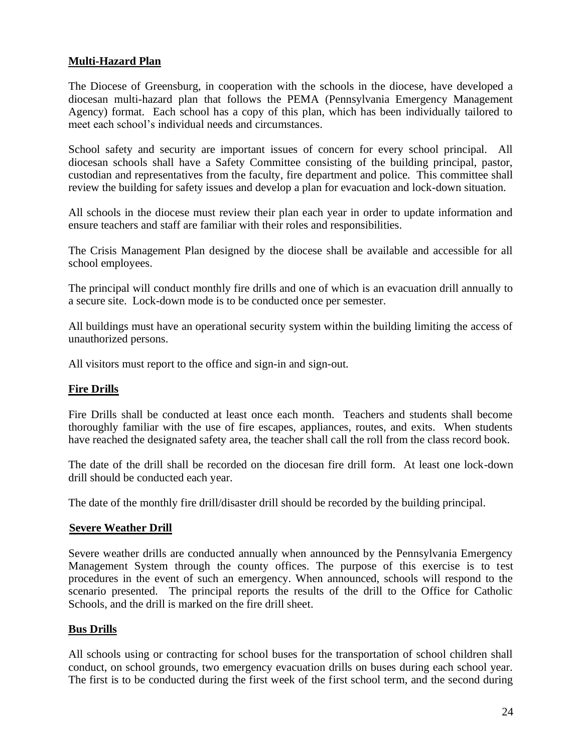#### **Multi-Hazard Plan**

The Diocese of Greensburg, in cooperation with the schools in the diocese, have developed a diocesan multi-hazard plan that follows the PEMA (Pennsylvania Emergency Management Agency) format. Each school has a copy of this plan, which has been individually tailored to meet each school's individual needs and circumstances.

School safety and security are important issues of concern for every school principal. All diocesan schools shall have a Safety Committee consisting of the building principal, pastor, custodian and representatives from the faculty, fire department and police. This committee shall review the building for safety issues and develop a plan for evacuation and lock-down situation.

All schools in the diocese must review their plan each year in order to update information and ensure teachers and staff are familiar with their roles and responsibilities.

The Crisis Management Plan designed by the diocese shall be available and accessible for all school employees.

The principal will conduct monthly fire drills and one of which is an evacuation drill annually to a secure site. Lock-down mode is to be conducted once per semester.

All buildings must have an operational security system within the building limiting the access of unauthorized persons.

All visitors must report to the office and sign-in and sign-out.

#### **Fire Drills**

Fire Drills shall be conducted at least once each month. Teachers and students shall become thoroughly familiar with the use of fire escapes, appliances, routes, and exits. When students have reached the designated safety area, the teacher shall call the roll from the class record book.

The date of the drill shall be recorded on the diocesan fire drill form. At least one lock-down drill should be conducted each year.

The date of the monthly fire drill/disaster drill should be recorded by the building principal.

#### **Severe Weather Drill**

Severe weather drills are conducted annually when announced by the Pennsylvania Emergency Management System through the county offices. The purpose of this exercise is to test procedures in the event of such an emergency. When announced, schools will respond to the scenario presented. The principal reports the results of the drill to the Office for Catholic Schools, and the drill is marked on the fire drill sheet.

#### **Bus Drills**

All schools using or contracting for school buses for the transportation of school children shall conduct, on school grounds, two emergency evacuation drills on buses during each school year. The first is to be conducted during the first week of the first school term, and the second during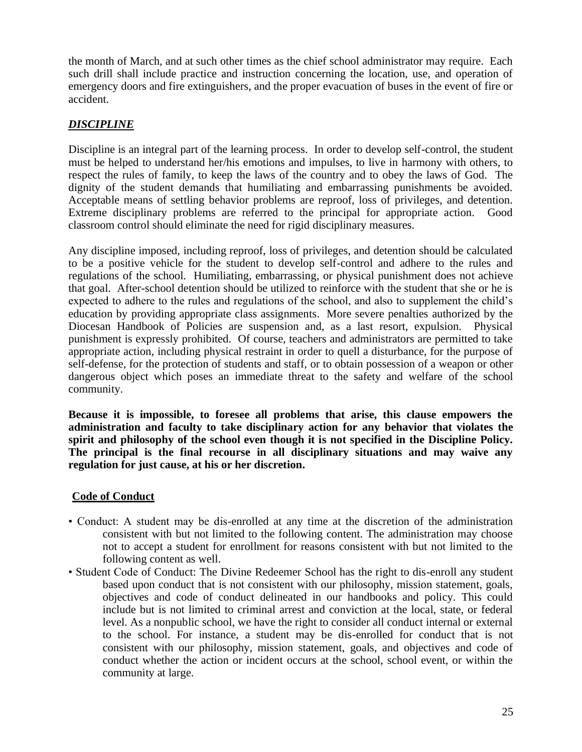the month of March, and at such other times as the chief school administrator may require. Each such drill shall include practice and instruction concerning the location, use, and operation of emergency doors and fire extinguishers, and the proper evacuation of buses in the event of fire or accident.

#### *DISCIPLINE*

Discipline is an integral part of the learning process. In order to develop self-control, the student must be helped to understand her/his emotions and impulses, to live in harmony with others, to respect the rules of family, to keep the laws of the country and to obey the laws of God. The dignity of the student demands that humiliating and embarrassing punishments be avoided. Acceptable means of settling behavior problems are reproof, loss of privileges, and detention. Extreme disciplinary problems are referred to the principal for appropriate action. Good classroom control should eliminate the need for rigid disciplinary measures.

Any discipline imposed, including reproof, loss of privileges, and detention should be calculated to be a positive vehicle for the student to develop self-control and adhere to the rules and regulations of the school. Humiliating, embarrassing, or physical punishment does not achieve that goal. After-school detention should be utilized to reinforce with the student that she or he is expected to adhere to the rules and regulations of the school, and also to supplement the child's education by providing appropriate class assignments. More severe penalties authorized by the Diocesan Handbook of Policies are suspension and, as a last resort, expulsion. Physical punishment is expressly prohibited. Of course, teachers and administrators are permitted to take appropriate action, including physical restraint in order to quell a disturbance, for the purpose of self-defense, for the protection of students and staff, or to obtain possession of a weapon or other dangerous object which poses an immediate threat to the safety and welfare of the school community.

**Because it is impossible, to foresee all problems that arise, this clause empowers the administration and faculty to take disciplinary action for any behavior that violates the spirit and philosophy of the school even though it is not specified in the Discipline Policy. The principal is the final recourse in all disciplinary situations and may waive any regulation for just cause, at his or her discretion.**

## **Code of Conduct**

- Conduct: A student may be dis-enrolled at any time at the discretion of the administration consistent with but not limited to the following content. The administration may choose not to accept a student for enrollment for reasons consistent with but not limited to the following content as well.
- Student Code of Conduct: The Divine Redeemer School has the right to dis-enroll any student based upon conduct that is not consistent with our philosophy, mission statement, goals, objectives and code of conduct delineated in our handbooks and policy. This could include but is not limited to criminal arrest and conviction at the local, state, or federal level. As a nonpublic school, we have the right to consider all conduct internal or external to the school. For instance, a student may be dis-enrolled for conduct that is not consistent with our philosophy, mission statement, goals, and objectives and code of conduct whether the action or incident occurs at the school, school event, or within the community at large.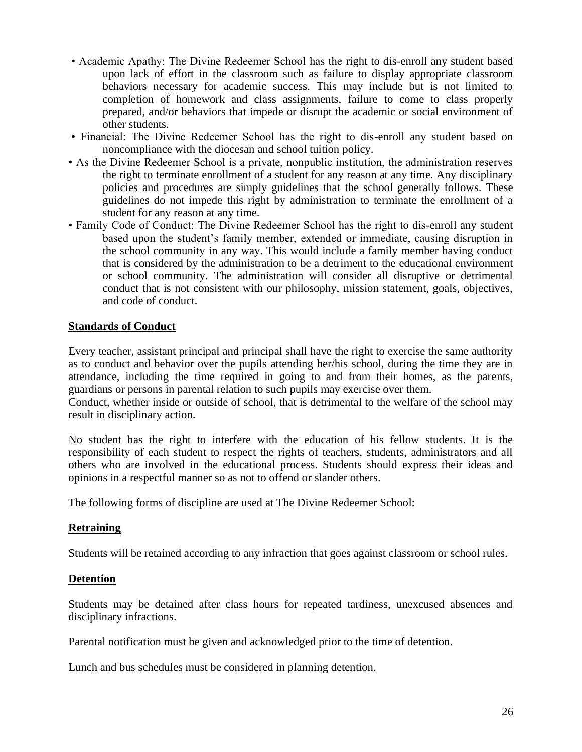- Academic Apathy: The Divine Redeemer School has the right to dis-enroll any student based upon lack of effort in the classroom such as failure to display appropriate classroom behaviors necessary for academic success. This may include but is not limited to completion of homework and class assignments, failure to come to class properly prepared, and/or behaviors that impede or disrupt the academic or social environment of other students.
- Financial: The Divine Redeemer School has the right to dis-enroll any student based on noncompliance with the diocesan and school tuition policy.
- As the Divine Redeemer School is a private, nonpublic institution, the administration reserves the right to terminate enrollment of a student for any reason at any time. Any disciplinary policies and procedures are simply guidelines that the school generally follows. These guidelines do not impede this right by administration to terminate the enrollment of a student for any reason at any time.
- Family Code of Conduct: The Divine Redeemer School has the right to dis-enroll any student based upon the student's family member, extended or immediate, causing disruption in the school community in any way. This would include a family member having conduct that is considered by the administration to be a detriment to the educational environment or school community. The administration will consider all disruptive or detrimental conduct that is not consistent with our philosophy, mission statement, goals, objectives, and code of conduct.

#### **Standards of Conduct**

Every teacher, assistant principal and principal shall have the right to exercise the same authority as to conduct and behavior over the pupils attending her/his school, during the time they are in attendance, including the time required in going to and from their homes, as the parents, guardians or persons in parental relation to such pupils may exercise over them.

Conduct, whether inside or outside of school, that is detrimental to the welfare of the school may result in disciplinary action.

No student has the right to interfere with the education of his fellow students. It is the responsibility of each student to respect the rights of teachers, students, administrators and all others who are involved in the educational process. Students should express their ideas and opinions in a respectful manner so as not to offend or slander others.

The following forms of discipline are used at The Divine Redeemer School:

#### **Retraining**

Students will be retained according to any infraction that goes against classroom or school rules.

#### **Detention**

Students may be detained after class hours for repeated tardiness, unexcused absences and disciplinary infractions.

Parental notification must be given and acknowledged prior to the time of detention.

Lunch and bus schedules must be considered in planning detention.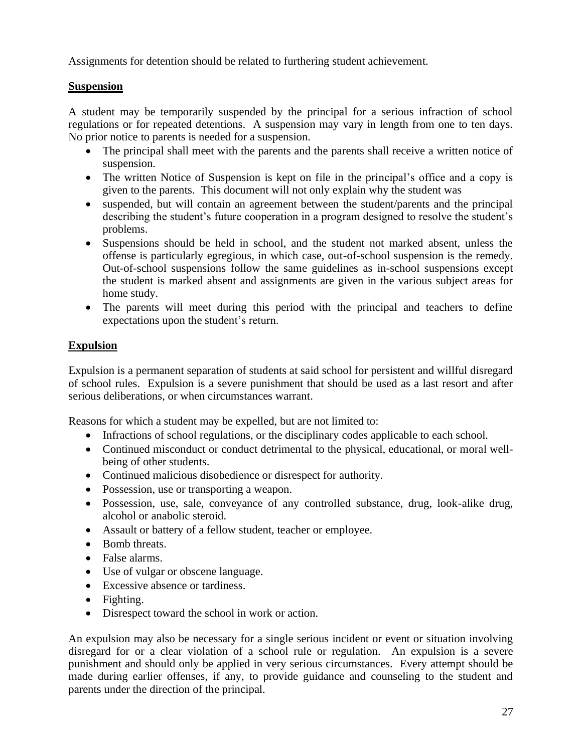Assignments for detention should be related to furthering student achievement.

#### **Suspension**

A student may be temporarily suspended by the principal for a serious infraction of school regulations or for repeated detentions. A suspension may vary in length from one to ten days. No prior notice to parents is needed for a suspension.

- The principal shall meet with the parents and the parents shall receive a written notice of suspension.
- The written Notice of Suspension is kept on file in the principal's office and a copy is given to the parents. This document will not only explain why the student was
- suspended, but will contain an agreement between the student/parents and the principal describing the student's future cooperation in a program designed to resolve the student's problems.
- Suspensions should be held in school, and the student not marked absent, unless the offense is particularly egregious, in which case, out-of-school suspension is the remedy. Out-of-school suspensions follow the same guidelines as in-school suspensions except the student is marked absent and assignments are given in the various subject areas for home study.
- The parents will meet during this period with the principal and teachers to define expectations upon the student's return.

#### **Expulsion**

Expulsion is a permanent separation of students at said school for persistent and willful disregard of school rules. Expulsion is a severe punishment that should be used as a last resort and after serious deliberations, or when circumstances warrant.

Reasons for which a student may be expelled, but are not limited to:

- Infractions of school regulations, or the disciplinary codes applicable to each school.
- Continued misconduct or conduct detrimental to the physical, educational, or moral wellbeing of other students.
- Continued malicious disobedience or disrespect for authority.
- Possession, use or transporting a weapon.
- Possession, use, sale, conveyance of any controlled substance, drug, look-alike drug, alcohol or anabolic steroid.
- Assault or battery of a fellow student, teacher or employee.
- Bomb threats.
- False alarms.
- Use of vulgar or obscene language.
- Excessive absence or tardiness.
- Fighting.
- Disrespect toward the school in work or action.

An expulsion may also be necessary for a single serious incident or event or situation involving disregard for or a clear violation of a school rule or regulation. An expulsion is a severe punishment and should only be applied in very serious circumstances. Every attempt should be made during earlier offenses, if any, to provide guidance and counseling to the student and parents under the direction of the principal.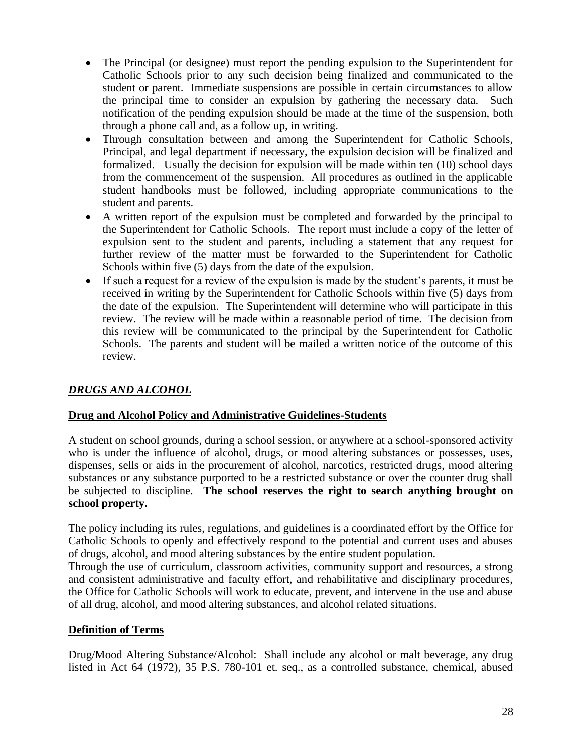- The Principal (or designee) must report the pending expulsion to the Superintendent for Catholic Schools prior to any such decision being finalized and communicated to the student or parent. Immediate suspensions are possible in certain circumstances to allow the principal time to consider an expulsion by gathering the necessary data. Such notification of the pending expulsion should be made at the time of the suspension, both through a phone call and, as a follow up, in writing.
- Through consultation between and among the Superintendent for Catholic Schools, Principal, and legal department if necessary, the expulsion decision will be finalized and formalized. Usually the decision for expulsion will be made within ten (10) school days from the commencement of the suspension. All procedures as outlined in the applicable student handbooks must be followed, including appropriate communications to the student and parents.
- A written report of the expulsion must be completed and forwarded by the principal to the Superintendent for Catholic Schools. The report must include a copy of the letter of expulsion sent to the student and parents, including a statement that any request for further review of the matter must be forwarded to the Superintendent for Catholic Schools within five (5) days from the date of the expulsion.
- If such a request for a review of the expulsion is made by the student's parents, it must be received in writing by the Superintendent for Catholic Schools within five (5) days from the date of the expulsion. The Superintendent will determine who will participate in this review. The review will be made within a reasonable period of time. The decision from this review will be communicated to the principal by the Superintendent for Catholic Schools. The parents and student will be mailed a written notice of the outcome of this review.

#### *DRUGS AND ALCOHOL*

#### **Drug and Alcohol Policy and Administrative Guidelines-Students**

A student on school grounds, during a school session, or anywhere at a school-sponsored activity who is under the influence of alcohol, drugs, or mood altering substances or possesses, uses, dispenses, sells or aids in the procurement of alcohol, narcotics, restricted drugs, mood altering substances or any substance purported to be a restricted substance or over the counter drug shall be subjected to discipline. **The school reserves the right to search anything brought on school property.**

The policy including its rules, regulations, and guidelines is a coordinated effort by the Office for Catholic Schools to openly and effectively respond to the potential and current uses and abuses of drugs, alcohol, and mood altering substances by the entire student population.

Through the use of curriculum, classroom activities, community support and resources, a strong and consistent administrative and faculty effort, and rehabilitative and disciplinary procedures, the Office for Catholic Schools will work to educate, prevent, and intervene in the use and abuse of all drug, alcohol, and mood altering substances, and alcohol related situations.

#### **Definition of Terms**

Drug/Mood Altering Substance/Alcohol:Shall include any alcohol or malt beverage, any drug listed in Act 64 (1972), 35 P.S. 780-101 et. seq., as a controlled substance, chemical, abused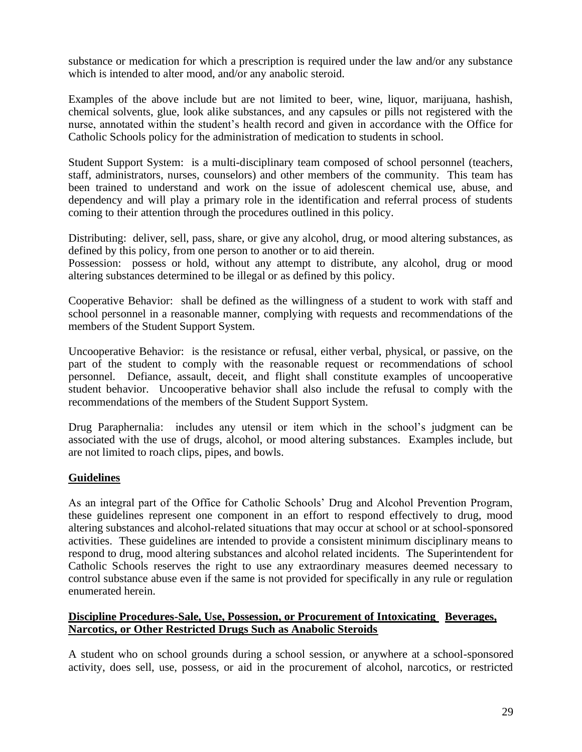substance or medication for which a prescription is required under the law and/or any substance which is intended to alter mood, and/or any anabolic steroid.

Examples of the above include but are not limited to beer, wine, liquor, marijuana, hashish, chemical solvents, glue, look alike substances, and any capsules or pills not registered with the nurse, annotated within the student's health record and given in accordance with the Office for Catholic Schools policy for the administration of medication to students in school.

Student Support System:is a multi-disciplinary team composed of school personnel (teachers, staff, administrators, nurses, counselors) and other members of the community. This team has been trained to understand and work on the issue of adolescent chemical use, abuse, and dependency and will play a primary role in the identification and referral process of students coming to their attention through the procedures outlined in this policy.

Distributing:deliver, sell, pass, share, or give any alcohol, drug, or mood altering substances, as defined by this policy, from one person to another or to aid therein.

Possession: possess or hold, without any attempt to distribute, any alcohol, drug or mood altering substances determined to be illegal or as defined by this policy.

Cooperative Behavior:shall be defined as the willingness of a student to work with staff and school personnel in a reasonable manner, complying with requests and recommendations of the members of the Student Support System.

Uncooperative Behavior:is the resistance or refusal, either verbal, physical, or passive, on the part of the student to comply with the reasonable request or recommendations of school personnel. Defiance, assault, deceit, and flight shall constitute examples of uncooperative student behavior. Uncooperative behavior shall also include the refusal to comply with the recommendations of the members of the Student Support System.

Drug Paraphernalia:includes any utensil or item which in the school's judgment can be associated with the use of drugs, alcohol, or mood altering substances. Examples include, but are not limited to roach clips, pipes, and bowls.

#### **Guidelines**

As an integral part of the Office for Catholic Schools' Drug and Alcohol Prevention Program, these guidelines represent one component in an effort to respond effectively to drug, mood altering substances and alcohol-related situations that may occur at school or at school-sponsored activities. These guidelines are intended to provide a consistent minimum disciplinary means to respond to drug, mood altering substances and alcohol related incidents. The Superintendent for Catholic Schools reserves the right to use any extraordinary measures deemed necessary to control substance abuse even if the same is not provided for specifically in any rule or regulation enumerated herein.

#### **Discipline Procedures-Sale, Use, Possession, or Procurement of Intoxicating Beverages, Narcotics, or Other Restricted Drugs Such as Anabolic Steroids**

A student who on school grounds during a school session, or anywhere at a school-sponsored activity, does sell, use, possess, or aid in the procurement of alcohol, narcotics, or restricted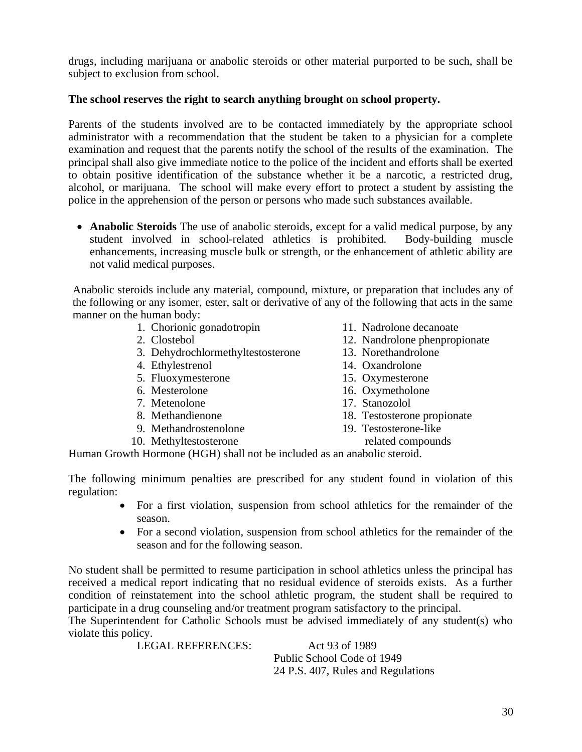drugs, including marijuana or anabolic steroids or other material purported to be such, shall be subject to exclusion from school.

### **The school reserves the right to search anything brought on school property.**

Parents of the students involved are to be contacted immediately by the appropriate school administrator with a recommendation that the student be taken to a physician for a complete examination and request that the parents notify the school of the results of the examination. The principal shall also give immediate notice to the police of the incident and efforts shall be exerted to obtain positive identification of the substance whether it be a narcotic, a restricted drug, alcohol, or marijuana. The school will make every effort to protect a student by assisting the police in the apprehension of the person or persons who made such substances available.

• **Anabolic Steroids** The use of anabolic steroids, except for a valid medical purpose, by any student involved in school-related athletics is prohibited. Body-building muscle enhancements, increasing muscle bulk or strength, or the enhancement of athletic ability are not valid medical purposes.

Anabolic steroids include any material, compound, mixture, or preparation that includes any of the following or any isomer, ester, salt or derivative of any of the following that acts in the same manner on the human body:

- 1. Chorionic gonadotropin 11. Nadrolone decanoate
- 
- 3. Dehydrochlormethyltestosterone 13. Norethandrolone
- 
- 5. Fluoxymesterone 15. Oxymesterone
- 
- 7. Metenolone 17. Stanozolol
- 
- 9. Methandrostenolone
- 10. Methyltestosterone related compounds
- 
- 2. Clostebol 12. Nandrolone phenpropionate
	-
- 4. Ethylestrenol 14. Oxandrolone
	-
- 6. Mesterolone 16. Oxymetholone
	-
- 8. Methandienone 18. Testosterone propionate<br>
9. Methandrostenolone 19. Testosterone-like
	- -

Human Growth Hormone (HGH) shall not be included as an anabolic steroid.

The following minimum penalties are prescribed for any student found in violation of this regulation:

- For a first violation, suspension from school athletics for the remainder of the season.
- For a second violation, suspension from school athletics for the remainder of the season and for the following season.

No student shall be permitted to resume participation in school athletics unless the principal has received a medical report indicating that no residual evidence of steroids exists. As a further condition of reinstatement into the school athletic program, the student shall be required to participate in a drug counseling and/or treatment program satisfactory to the principal.

The Superintendent for Catholic Schools must be advised immediately of any student(s) who violate this policy.

LEGAL REFERENCES: Act 93 of 1989 Public School Code of 1949 24 P.S. 407, Rules and Regulations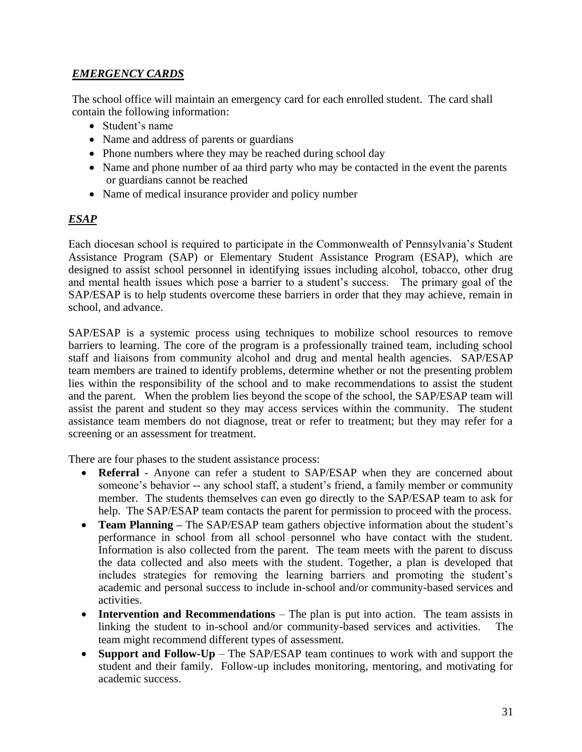## *EMERGENCY CARDS*

The school office will maintain an emergency card for each enrolled student. The card shall contain the following information:

- Student's name
- Name and address of parents or guardians
- Phone numbers where they may be reached during school day
- Name and phone number of aa third party who may be contacted in the event the parents or guardians cannot be reached
- Name of medical insurance provider and policy number

## *ESAP*

Each diocesan school is required to participate in the Commonwealth of Pennsylvania's Student Assistance Program (SAP) or Elementary Student Assistance Program (ESAP), which are designed to assist school personnel in identifying issues including alcohol, tobacco, other drug and mental health issues which pose a barrier to a student's success. The primary goal of the SAP/ESAP is to help students overcome these barriers in order that they may achieve, remain in school, and advance.

SAP/ESAP is a systemic process using techniques to mobilize school resources to remove barriers to learning. The core of the program is a professionally trained team, including school staff and liaisons from community alcohol and drug and mental health agencies. SAP/ESAP team members are trained to identify problems, determine whether or not the presenting problem lies within the responsibility of the school and to make recommendations to assist the student and the parent. When the problem lies beyond the scope of the school, the SAP/ESAP team will assist the parent and student so they may access services within the community. The student assistance team members do not diagnose, treat or refer to treatment; but they may refer for a screening or an assessment for treatment.

There are four phases to the student assistance process:

- **Referral** Anyone can refer a student to SAP/ESAP when they are concerned about someone's behavior -- any school staff, a student's friend, a family member or community member. The students themselves can even go directly to the SAP/ESAP team to ask for help. The SAP/ESAP team contacts the parent for permission to proceed with the process.
- **Team Planning** The SAP/ESAP team gathers objective information about the student's performance in school from all school personnel who have contact with the student. Information is also collected from the parent. The team meets with the parent to discuss the data collected and also meets with the student. Together, a plan is developed that includes strategies for removing the learning barriers and promoting the student's academic and personal success to include in-school and/or community-based services and activities.
- **Intervention and Recommendations** The plan is put into action. The team assists in linking the student to in-school and/or community-based services and activities. The team might recommend different types of assessment.
- **Support and Follow-Up** The SAP/ESAP team continues to work with and support the student and their family. Follow-up includes monitoring, mentoring, and motivating for academic success.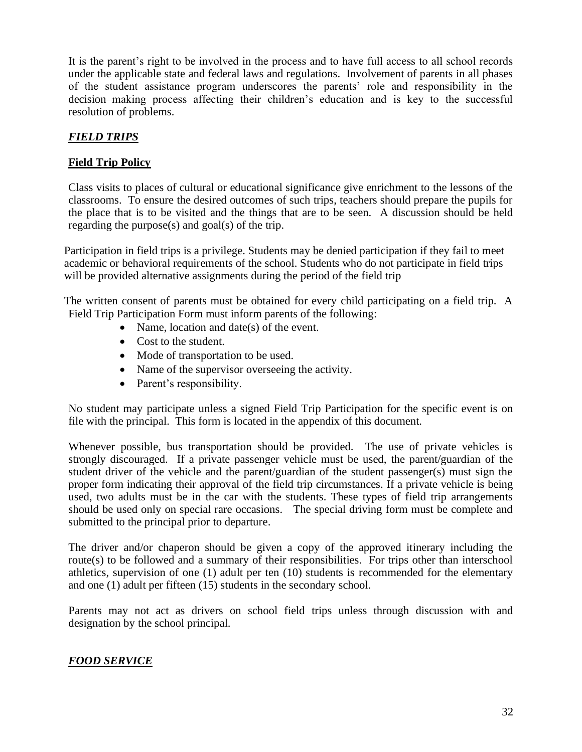It is the parent's right to be involved in the process and to have full access to all school records under the applicable state and federal laws and regulations. Involvement of parents in all phases of the student assistance program underscores the parents' role and responsibility in the decision–making process affecting their children's education and is key to the successful resolution of problems.

## *FIELD TRIPS*

## **Field Trip Policy**

Class visits to places of cultural or educational significance give enrichment to the lessons of the classrooms. To ensure the desired outcomes of such trips, teachers should prepare the pupils for the place that is to be visited and the things that are to be seen. A discussion should be held regarding the purpose(s) and goal(s) of the trip.

Participation in field trips is a privilege. Students may be denied participation if they fail to meet academic or behavioral requirements of the school. Students who do not participate in field trips will be provided alternative assignments during the period of the field trip

The written consent of parents must be obtained for every child participating on a field trip. A Field Trip Participation Form must inform parents of the following:

- Name, location and date(s) of the event.
- Cost to the student.
- Mode of transportation to be used.
- Name of the supervisor overseeing the activity.
- Parent's responsibility.

No student may participate unless a signed Field Trip Participation for the specific event is on file with the principal. This form is located in the appendix of this document.

Whenever possible, bus transportation should be provided. The use of private vehicles is strongly discouraged. If a private passenger vehicle must be used, the parent/guardian of the student driver of the vehicle and the parent/guardian of the student passenger(s) must sign the proper form indicating their approval of the field trip circumstances. If a private vehicle is being used, two adults must be in the car with the students. These types of field trip arrangements should be used only on special rare occasions. The special driving form must be complete and submitted to the principal prior to departure.

The driver and/or chaperon should be given a copy of the approved itinerary including the route(s) to be followed and a summary of their responsibilities. For trips other than interschool athletics, supervision of one (1) adult per ten (10) students is recommended for the elementary and one (1) adult per fifteen (15) students in the secondary school.

Parents may not act as drivers on school field trips unless through discussion with and designation by the school principal.

#### *FOOD SERVICE*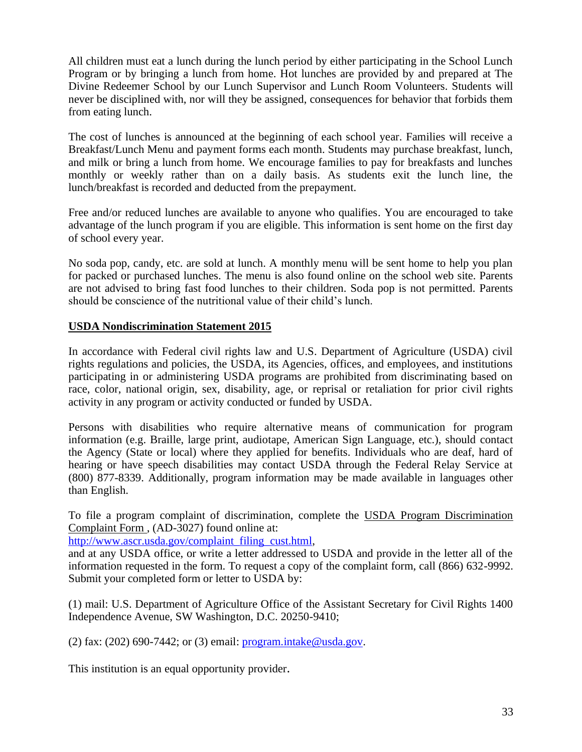All children must eat a lunch during the lunch period by either participating in the School Lunch Program or by bringing a lunch from home. Hot lunches are provided by and prepared at The Divine Redeemer School by our Lunch Supervisor and Lunch Room Volunteers. Students will never be disciplined with, nor will they be assigned, consequences for behavior that forbids them from eating lunch.

The cost of lunches is announced at the beginning of each school year. Families will receive a Breakfast/Lunch Menu and payment forms each month. Students may purchase breakfast, lunch, and milk or bring a lunch from home. We encourage families to pay for breakfasts and lunches monthly or weekly rather than on a daily basis. As students exit the lunch line, the lunch/breakfast is recorded and deducted from the prepayment.

Free and/or reduced lunches are available to anyone who qualifies. You are encouraged to take advantage of the lunch program if you are eligible. This information is sent home on the first day of school every year.

No soda pop, candy, etc. are sold at lunch. A monthly menu will be sent home to help you plan for packed or purchased lunches. The menu is also found online on the school web site. Parents are not advised to bring fast food lunches to their children. Soda pop is not permitted. Parents should be conscience of the nutritional value of their child's lunch.

#### **USDA Nondiscrimination Statement 2015**

In accordance with Federal civil rights law and U.S. Department of Agriculture (USDA) civil rights regulations and policies, the USDA, its Agencies, offices, and employees, and institutions participating in or administering USDA programs are prohibited from discriminating based on race, color, national origin, sex, disability, age, or reprisal or retaliation for prior civil rights activity in any program or activity conducted or funded by USDA.

Persons with disabilities who require alternative means of communication for program information (e.g. Braille, large print, audiotape, American Sign Language, etc.), should contact the Agency (State or local) where they applied for benefits. Individuals who are deaf, hard of hearing or have speech disabilities may contact USDA through the Federal Relay Service at (800) 877-8339. Additionally, program information may be made available in languages other than English.

To file a program complaint of discrimination, complete the USDA Program Discrimination Complaint Form , (AD-3027) found online at:

[http://www.ascr.usda.gov/complaint\\_filing\\_cust.html,](http://www.ascr.usda.gov/complaint_filing_cust.html)

and at any USDA office, or write a letter addressed to USDA and provide in the letter all of the information requested in the form. To request a copy of the complaint form, call (866) 632-9992. Submit your completed form or letter to USDA by:

(1) mail: U.S. Department of Agriculture Office of the Assistant Secretary for Civil Rights 1400 Independence Avenue, SW Washington, D.C. 20250-9410;

(2) fax: (202) 690-7442; or (3) email:  $\frac{\text{program.intake@usda.gov}}{\text{program.out.}}$ 

This institution is an equal opportunity provider.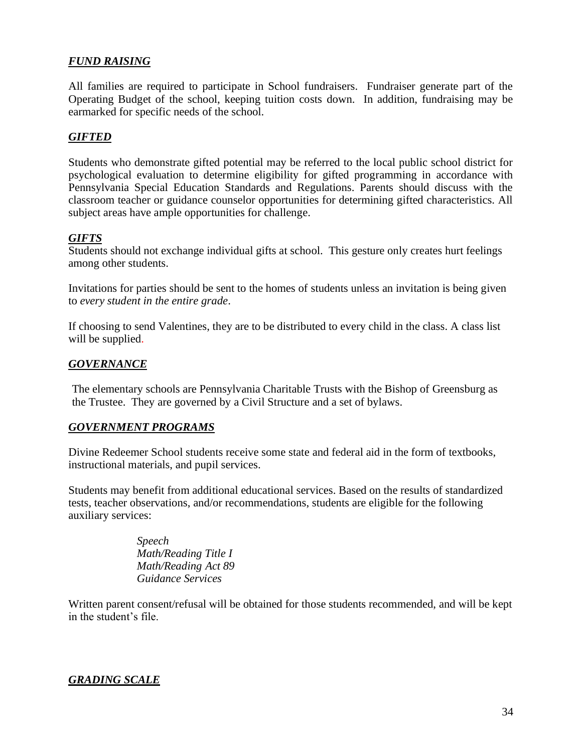#### *FUND RAISING*

All families are required to participate in School fundraisers. Fundraiser generate part of the Operating Budget of the school, keeping tuition costs down. In addition, fundraising may be earmarked for specific needs of the school.

#### *GIFTED*

Students who demonstrate gifted potential may be referred to the local public school district for psychological evaluation to determine eligibility for gifted programming in accordance with Pennsylvania Special Education Standards and Regulations. Parents should discuss with the classroom teacher or guidance counselor opportunities for determining gifted characteristics. All subject areas have ample opportunities for challenge.

#### *GIFTS*

Students should not exchange individual gifts at school. This gesture only creates hurt feelings among other students.

Invitations for parties should be sent to the homes of students unless an invitation is being given to *every student in the entire grade*.

If choosing to send Valentines, they are to be distributed to every child in the class. A class list will be supplied.

#### *GOVERNANCE*

The elementary schools are Pennsylvania Charitable Trusts with the Bishop of Greensburg as the Trustee. They are governed by a Civil Structure and a set of bylaws.

#### *GOVERNMENT PROGRAMS*

Divine Redeemer School students receive some state and federal aid in the form of textbooks, instructional materials, and pupil services.

Students may benefit from additional educational services. Based on the results of standardized tests, teacher observations, and/or recommendations, students are eligible for the following auxiliary services:

> *Speech Math/Reading Title I Math/Reading Act 89 Guidance Services*

Written parent consent/refusal will be obtained for those students recommended, and will be kept in the student's file.

#### *GRADING SCALE*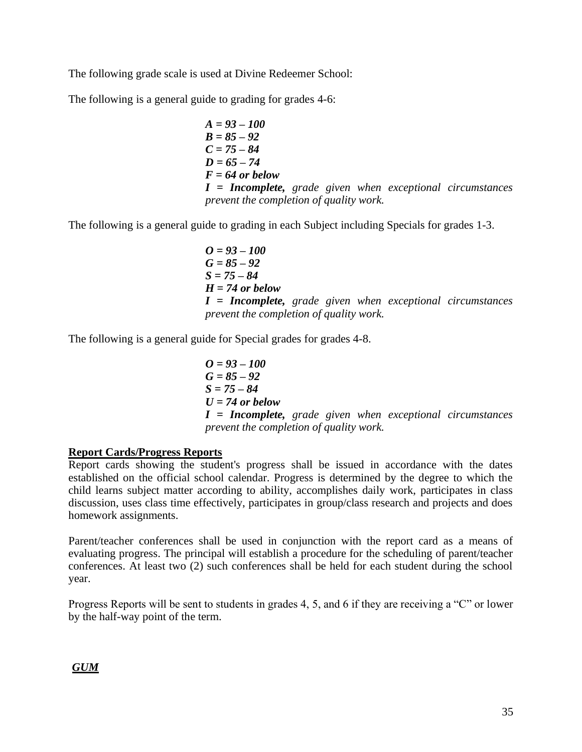The following grade scale is used at Divine Redeemer School:

The following is a general guide to grading for grades 4-6:

$$
A = 93 - 100
$$
  
\n
$$
B = 85 - 92
$$
  
\n
$$
C = 75 - 84
$$
  
\n
$$
D = 65 - 74
$$
  
\n
$$
F = 64
$$
 or below  
\n
$$
I = Incomplete, grade given when exceptional circumstances\nprevent the completion of quality work.
$$

The following is a general guide to grading in each Subject including Specials for grades 1-3.

$$
O = 93 - 100
$$
  
G = 85 - 92  
S = 75 - 84  
H = 74 or below  
I = Incomplete, grade given when exceptional circumstances  
prevent the completion of quality work.

The following is a general guide for Special grades for grades 4-8.

$$
O = 93 - 100
$$
  
G = 85 - 92  
S = 75 - 84  
U = 74 or below  
I = Incomplete, grade given when exceptional circumstances  
prevent the completion of quality work.

#### **Report Cards/Progress Reports**

Report cards showing the student's progress shall be issued in accordance with the dates established on the official school calendar. Progress is determined by the degree to which the child learns subject matter according to ability, accomplishes daily work, participates in class discussion, uses class time effectively, participates in group/class research and projects and does homework assignments.

Parent/teacher conferences shall be used in conjunction with the report card as a means of evaluating progress. The principal will establish a procedure for the scheduling of parent/teacher conferences. At least two (2) such conferences shall be held for each student during the school year.

Progress Reports will be sent to students in grades 4, 5, and 6 if they are receiving a "C" or lower by the half-way point of the term.

*GUM*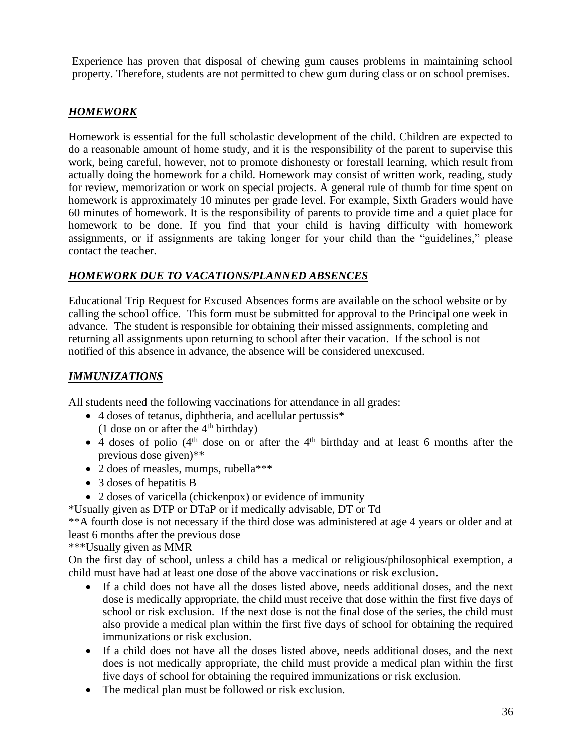Experience has proven that disposal of chewing gum causes problems in maintaining school property. Therefore, students are not permitted to chew gum during class or on school premises.

## *HOMEWORK*

Homework is essential for the full scholastic development of the child. Children are expected to do a reasonable amount of home study, and it is the responsibility of the parent to supervise this work, being careful, however, not to promote dishonesty or forestall learning, which result from actually doing the homework for a child. Homework may consist of written work, reading, study for review, memorization or work on special projects. A general rule of thumb for time spent on homework is approximately 10 minutes per grade level. For example, Sixth Graders would have 60 minutes of homework. It is the responsibility of parents to provide time and a quiet place for homework to be done. If you find that your child is having difficulty with homework assignments, or if assignments are taking longer for your child than the "guidelines," please contact the teacher.

## *HOMEWORK DUE TO VACATIONS/PLANNED ABSENCES*

Educational Trip Request for Excused Absences forms are available on the school website or by calling the school office. This form must be submitted for approval to the Principal one week in advance. The student is responsible for obtaining their missed assignments, completing and returning all assignments upon returning to school after their vacation. If the school is not notified of this absence in advance, the absence will be considered unexcused.

## *IMMUNIZATIONS*

All students need the following vaccinations for attendance in all grades:

- 4 doses of tetanus, diphtheria, and acellular pertussis\* (1 dose on or after the  $4<sup>th</sup>$  birthday)
- $\bullet$  4 doses of polio (4<sup>th</sup> dose on or after the 4<sup>th</sup> birthday and at least 6 months after the previous dose given)\*\*
- 2 does of measles, mumps, rubella\*\*\*
- 3 doses of hepatitis B
- 2 doses of varicella (chickenpox) or evidence of immunity
- \*Usually given as DTP or DTaP or if medically advisable, DT or Td

\*\*A fourth dose is not necessary if the third dose was administered at age 4 years or older and at least 6 months after the previous dose

\*\*\*Usually given as MMR

On the first day of school, unless a child has a medical or religious/philosophical exemption, a child must have had at least one dose of the above vaccinations or risk exclusion.

- If a child does not have all the doses listed above, needs additional doses, and the next dose is medically appropriate, the child must receive that dose within the first five days of school or risk exclusion. If the next dose is not the final dose of the series, the child must also provide a medical plan within the first five days of school for obtaining the required immunizations or risk exclusion.
- If a child does not have all the doses listed above, needs additional doses, and the next does is not medically appropriate, the child must provide a medical plan within the first five days of school for obtaining the required immunizations or risk exclusion.
- The medical plan must be followed or risk exclusion.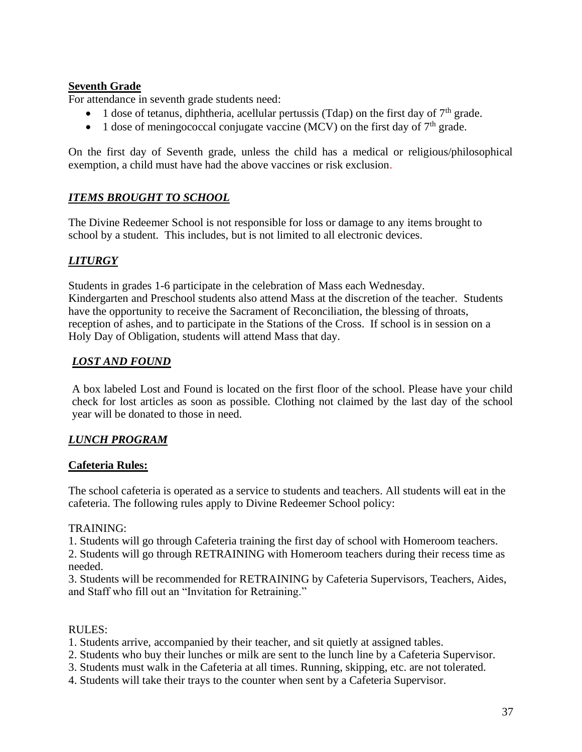#### **Seventh Grade**

For attendance in seventh grade students need:

- 1 dose of tetanus, diphtheria, acellular pertussis (Tdap) on the first day of  $7<sup>th</sup>$  grade.
- 1 dose of meningococcal conjugate vaccine (MCV) on the first day of  $7<sup>th</sup>$  grade.

On the first day of Seventh grade, unless the child has a medical or religious/philosophical exemption, a child must have had the above vaccines or risk exclusion.

#### *ITEMS BROUGHT TO SCHOOL*

The Divine Redeemer School is not responsible for loss or damage to any items brought to school by a student. This includes, but is not limited to all electronic devices.

#### *LITURGY*

Students in grades 1-6 participate in the celebration of Mass each Wednesday. Kindergarten and Preschool students also attend Mass at the discretion of the teacher. Students have the opportunity to receive the Sacrament of Reconciliation, the blessing of throats, reception of ashes, and to participate in the Stations of the Cross. If school is in session on a Holy Day of Obligation, students will attend Mass that day.

#### *LOST AND FOUND*

A box labeled Lost and Found is located on the first floor of the school. Please have your child check for lost articles as soon as possible. Clothing not claimed by the last day of the school year will be donated to those in need.

#### *LUNCH PROGRAM*

#### **Cafeteria Rules:**

The school cafeteria is operated as a service to students and teachers. All students will eat in the cafeteria. The following rules apply to Divine Redeemer School policy:

#### TRAINING:

1. Students will go through Cafeteria training the first day of school with Homeroom teachers.

2. Students will go through RETRAINING with Homeroom teachers during their recess time as needed.

3. Students will be recommended for RETRAINING by Cafeteria Supervisors, Teachers, Aides, and Staff who fill out an "Invitation for Retraining."

#### RULES:

1. Students arrive, accompanied by their teacher, and sit quietly at assigned tables.

- 2. Students who buy their lunches or milk are sent to the lunch line by a Cafeteria Supervisor.
- 3. Students must walk in the Cafeteria at all times. Running, skipping, etc. are not tolerated.
- 4. Students will take their trays to the counter when sent by a Cafeteria Supervisor.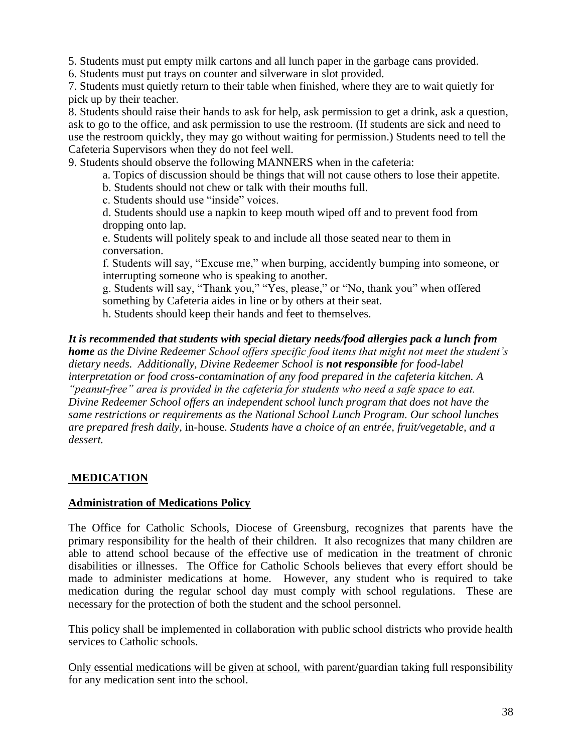5. Students must put empty milk cartons and all lunch paper in the garbage cans provided.

6. Students must put trays on counter and silverware in slot provided.

7. Students must quietly return to their table when finished, where they are to wait quietly for pick up by their teacher.

8. Students should raise their hands to ask for help, ask permission to get a drink, ask a question, ask to go to the office, and ask permission to use the restroom. (If students are sick and need to use the restroom quickly, they may go without waiting for permission.) Students need to tell the Cafeteria Supervisors when they do not feel well.

9. Students should observe the following MANNERS when in the cafeteria:

a. Topics of discussion should be things that will not cause others to lose their appetite.

b. Students should not chew or talk with their mouths full.

c. Students should use "inside" voices.

d. Students should use a napkin to keep mouth wiped off and to prevent food from dropping onto lap.

e. Students will politely speak to and include all those seated near to them in conversation.

f. Students will say, "Excuse me," when burping, accidently bumping into someone, or interrupting someone who is speaking to another.

g. Students will say, "Thank you," "Yes, please," or "No, thank you" when offered something by Cafeteria aides in line or by others at their seat.

h. Students should keep their hands and feet to themselves.

*It is recommended that students with special dietary needs/food allergies pack a lunch from home as the Divine Redeemer School offers specific food items that might not meet the student's dietary needs. Additionally, Divine Redeemer School is not responsible for food-label interpretation or food cross-contamination of any food prepared in the cafeteria kitchen. A "peanut-free" area is provided in the cafeteria for students who need a safe space to eat. Divine Redeemer School offers an independent school lunch program that does not have the same restrictions or requirements as the National School Lunch Program. Our school lunches are prepared fresh daily,* in-house. *Students have a choice of an entrée, fruit/vegetable, and a dessert.* 

## **MEDICATION**

#### **Administration of Medications Policy**

The Office for Catholic Schools, Diocese of Greensburg, recognizes that parents have the primary responsibility for the health of their children. It also recognizes that many children are able to attend school because of the effective use of medication in the treatment of chronic disabilities or illnesses. The Office for Catholic Schools believes that every effort should be made to administer medications at home. However, any student who is required to take medication during the regular school day must comply with school regulations. These are necessary for the protection of both the student and the school personnel.

This policy shall be implemented in collaboration with public school districts who provide health services to Catholic schools.

Only essential medications will be given at school, with parent/guardian taking full responsibility for any medication sent into the school.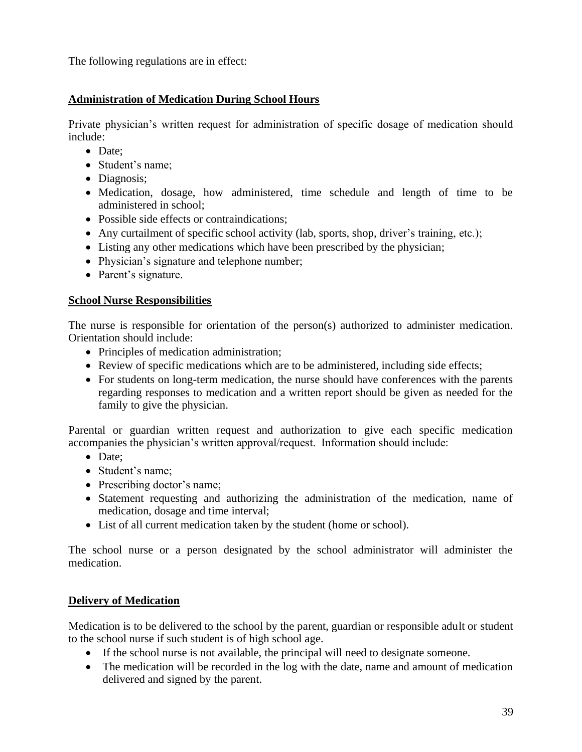The following regulations are in effect:

## **Administration of Medication During School Hours**

Private physician's written request for administration of specific dosage of medication should include:

- Date:
- Student's name;
- Diagnosis;
- Medication, dosage, how administered, time schedule and length of time to be administered in school;
- Possible side effects or contraindications:
- Any curtailment of specific school activity (lab, sports, shop, driver's training, etc.);
- Listing any other medications which have been prescribed by the physician;
- Physician's signature and telephone number;
- Parent's signature.

#### **School Nurse Responsibilities**

The nurse is responsible for orientation of the person(s) authorized to administer medication. Orientation should include:

- Principles of medication administration;
- Review of specific medications which are to be administered, including side effects;
- For students on long-term medication, the nurse should have conferences with the parents regarding responses to medication and a written report should be given as needed for the family to give the physician.

Parental or guardian written request and authorization to give each specific medication accompanies the physician's written approval/request. Information should include:

- Date:
- Student's name;
- Prescribing doctor's name;
- Statement requesting and authorizing the administration of the medication, name of medication, dosage and time interval;
- List of all current medication taken by the student (home or school).

The school nurse or a person designated by the school administrator will administer the medication.

#### **Delivery of Medication**

Medication is to be delivered to the school by the parent, guardian or responsible adult or student to the school nurse if such student is of high school age.

- If the school nurse is not available, the principal will need to designate someone.
- The medication will be recorded in the log with the date, name and amount of medication delivered and signed by the parent.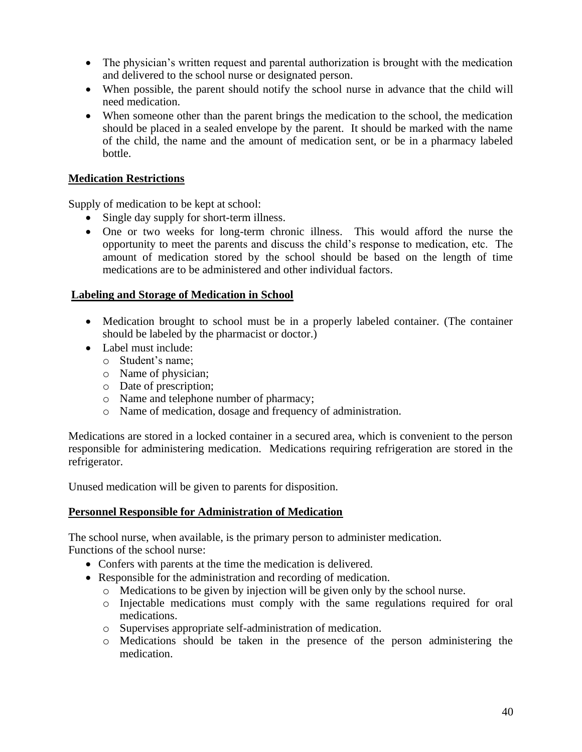- The physician's written request and parental authorization is brought with the medication and delivered to the school nurse or designated person.
- When possible, the parent should notify the school nurse in advance that the child will need medication.
- When someone other than the parent brings the medication to the school, the medication should be placed in a sealed envelope by the parent. It should be marked with the name of the child, the name and the amount of medication sent, or be in a pharmacy labeled bottle.

#### **Medication Restrictions**

Supply of medication to be kept at school:

- Single day supply for short-term illness.
- One or two weeks for long-term chronic illness. This would afford the nurse the opportunity to meet the parents and discuss the child's response to medication, etc. The amount of medication stored by the school should be based on the length of time medications are to be administered and other individual factors.

#### **Labeling and Storage of Medication in School**

- Medication brought to school must be in a properly labeled container. (The container should be labeled by the pharmacist or doctor.)
- Label must include:
	- o Student's name;
	- o Name of physician;
	- o Date of prescription;
	- o Name and telephone number of pharmacy;
	- o Name of medication, dosage and frequency of administration.

Medications are stored in a locked container in a secured area, which is convenient to the person responsible for administering medication. Medications requiring refrigeration are stored in the refrigerator.

Unused medication will be given to parents for disposition.

#### **Personnel Responsible for Administration of Medication**

The school nurse, when available, is the primary person to administer medication.

Functions of the school nurse:

- Confers with parents at the time the medication is delivered.
- Responsible for the administration and recording of medication.
	- o Medications to be given by injection will be given only by the school nurse.
	- o Injectable medications must comply with the same regulations required for oral medications.
	- o Supervises appropriate self-administration of medication.
	- o Medications should be taken in the presence of the person administering the medication.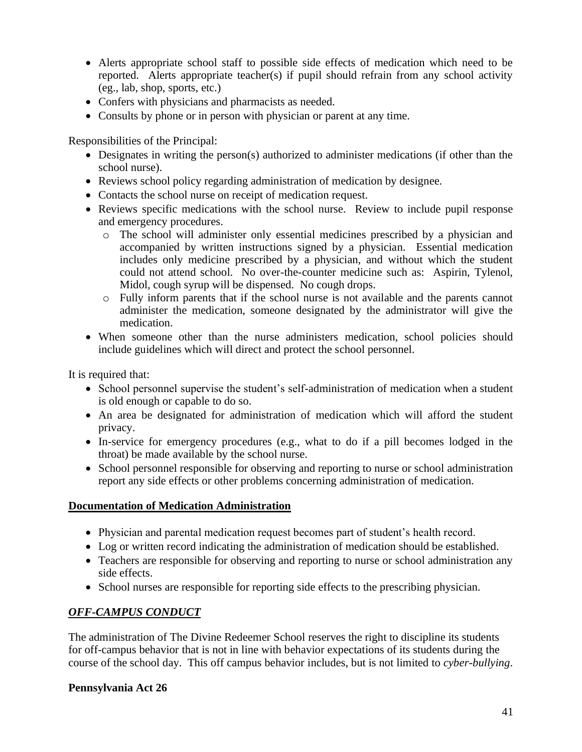- Alerts appropriate school staff to possible side effects of medication which need to be reported. Alerts appropriate teacher(s) if pupil should refrain from any school activity (eg., lab, shop, sports, etc.)
- Confers with physicians and pharmacists as needed.
- Consults by phone or in person with physician or parent at any time.

Responsibilities of the Principal:

- Designates in writing the person(s) authorized to administer medications (if other than the school nurse).
- Reviews school policy regarding administration of medication by designee.
- Contacts the school nurse on receipt of medication request.
- Reviews specific medications with the school nurse. Review to include pupil response and emergency procedures.
	- o The school will administer only essential medicines prescribed by a physician and accompanied by written instructions signed by a physician. Essential medication includes only medicine prescribed by a physician, and without which the student could not attend school. No over-the-counter medicine such as: Aspirin, Tylenol, Midol, cough syrup will be dispensed. No cough drops.
	- o Fully inform parents that if the school nurse is not available and the parents cannot administer the medication, someone designated by the administrator will give the medication.
- When someone other than the nurse administers medication, school policies should include guidelines which will direct and protect the school personnel.

It is required that:

- School personnel supervise the student's self-administration of medication when a student is old enough or capable to do so.
- An area be designated for administration of medication which will afford the student privacy.
- In-service for emergency procedures (e.g., what to do if a pill becomes lodged in the throat) be made available by the school nurse.
- School personnel responsible for observing and reporting to nurse or school administration report any side effects or other problems concerning administration of medication.

#### **Documentation of Medication Administration**

- Physician and parental medication request becomes part of student's health record.
- Log or written record indicating the administration of medication should be established.
- Teachers are responsible for observing and reporting to nurse or school administration any side effects.
- School nurses are responsible for reporting side effects to the prescribing physician.

#### *OFF-CAMPUS CONDUCT*

The administration of The Divine Redeemer School reserves the right to discipline its students for off-campus behavior that is not in line with behavior expectations of its students during the course of the school day. This off campus behavior includes, but is not limited to *cyber-bullying*.

#### **Pennsylvania Act 26**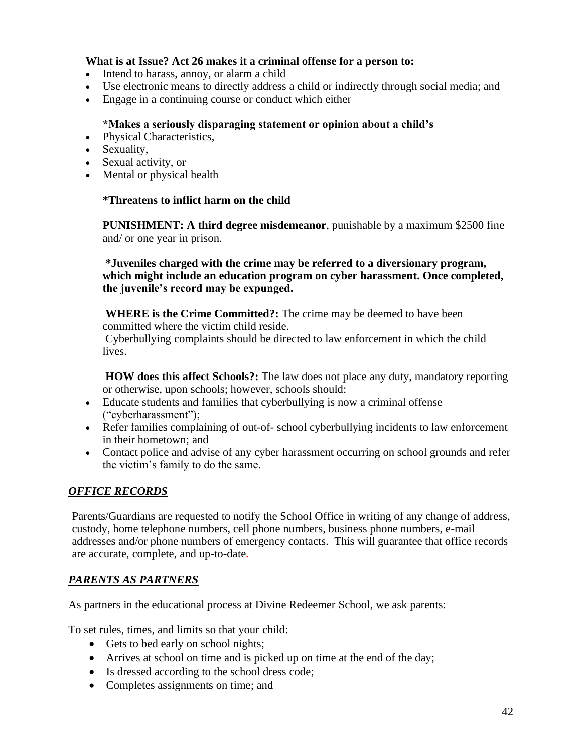#### **What is at Issue? Act 26 makes it a criminal offense for a person to:**

- Intend to harass, annoy, or alarm a child
- Use electronic means to directly address a child or indirectly through social media; and
- Engage in a continuing course or conduct which either

#### **\*Makes a seriously disparaging statement or opinion about a child's**

- Physical Characteristics,
- Sexuality,
- Sexual activity, or
- Mental or physical health

#### **\*Threatens to inflict harm on the child**

**PUNISHMENT: A third degree misdemeanor**, punishable by a maximum \$2500 fine and/ or one year in prison.

#### **\*Juveniles charged with the crime may be referred to a diversionary program, which might include an education program on cyber harassment. Once completed, the juvenile's record may be expunged.**

**WHERE is the Crime Committed?:** The crime may be deemed to have been committed where the victim child reside.

Cyberbullying complaints should be directed to law enforcement in which the child lives.

**HOW does this affect Schools?:** The law does not place any duty, mandatory reporting or otherwise, upon schools; however, schools should:

- Educate students and families that cyberbullying is now a criminal offense ("cyberharassment");
- Refer families complaining of out-of- school cyberbullying incidents to law enforcement in their hometown; and
- Contact police and advise of any cyber harassment occurring on school grounds and refer the victim's family to do the same.

#### *OFFICE RECORDS*

Parents/Guardians are requested to notify the School Office in writing of any change of address, custody, home telephone numbers, cell phone numbers, business phone numbers, e-mail addresses and/or phone numbers of emergency contacts. This will guarantee that office records are accurate, complete, and up-to-date.

#### *PARENTS AS PARTNERS*

As partners in the educational process at Divine Redeemer School, we ask parents:

To set rules, times, and limits so that your child:

- Gets to bed early on school nights;
- Arrives at school on time and is picked up on time at the end of the day;
- Is dressed according to the school dress code;
- Completes assignments on time; and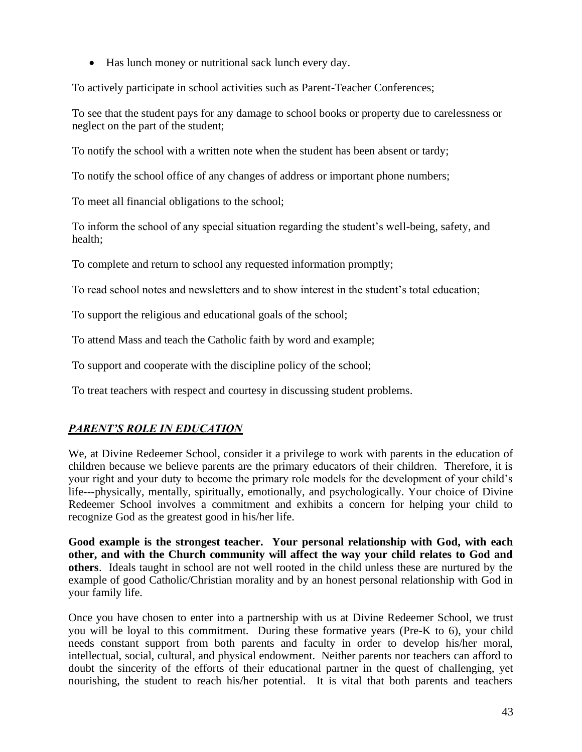• Has lunch money or nutritional sack lunch every day.

To actively participate in school activities such as Parent-Teacher Conferences;

To see that the student pays for any damage to school books or property due to carelessness or neglect on the part of the student;

To notify the school with a written note when the student has been absent or tardy;

To notify the school office of any changes of address or important phone numbers;

To meet all financial obligations to the school;

To inform the school of any special situation regarding the student's well-being, safety, and health;

To complete and return to school any requested information promptly;

To read school notes and newsletters and to show interest in the student's total education;

To support the religious and educational goals of the school;

To attend Mass and teach the Catholic faith by word and example;

To support and cooperate with the discipline policy of the school;

To treat teachers with respect and courtesy in discussing student problems.

## *PARENT'S ROLE IN EDUCATION*

We, at Divine Redeemer School, consider it a privilege to work with parents in the education of children because we believe parents are the primary educators of their children. Therefore, it is your right and your duty to become the primary role models for the development of your child's life---physically, mentally, spiritually, emotionally, and psychologically. Your choice of Divine Redeemer School involves a commitment and exhibits a concern for helping your child to recognize God as the greatest good in his/her life.

**Good example is the strongest teacher. Your personal relationship with God, with each other, and with the Church community will affect the way your child relates to God and others**. Ideals taught in school are not well rooted in the child unless these are nurtured by the example of good Catholic/Christian morality and by an honest personal relationship with God in your family life.

Once you have chosen to enter into a partnership with us at Divine Redeemer School, we trust you will be loyal to this commitment. During these formative years (Pre-K to 6), your child needs constant support from both parents and faculty in order to develop his/her moral, intellectual, social, cultural, and physical endowment. Neither parents nor teachers can afford to doubt the sincerity of the efforts of their educational partner in the quest of challenging, yet nourishing, the student to reach his/her potential. It is vital that both parents and teachers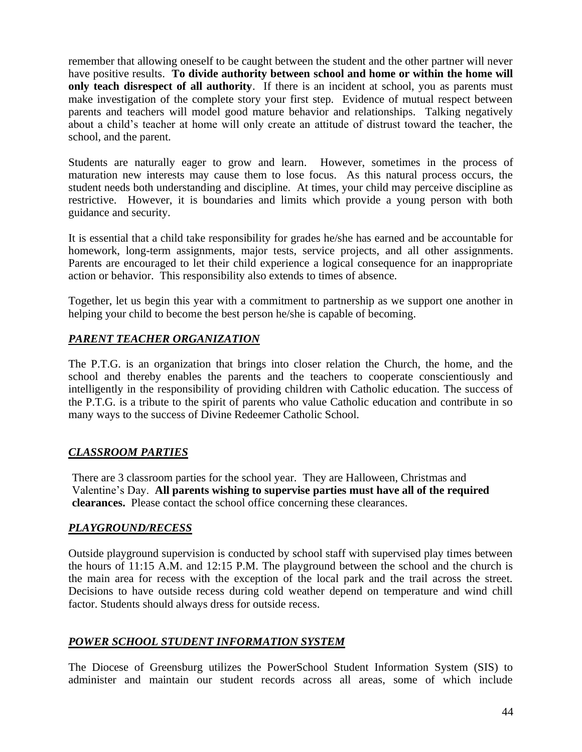remember that allowing oneself to be caught between the student and the other partner will never have positive results. **To divide authority between school and home or within the home will only teach disrespect of all authority**. If there is an incident at school, you as parents must make investigation of the complete story your first step. Evidence of mutual respect between parents and teachers will model good mature behavior and relationships. Talking negatively about a child's teacher at home will only create an attitude of distrust toward the teacher, the school, and the parent.

Students are naturally eager to grow and learn. However, sometimes in the process of maturation new interests may cause them to lose focus. As this natural process occurs, the student needs both understanding and discipline. At times, your child may perceive discipline as restrictive. However, it is boundaries and limits which provide a young person with both guidance and security.

It is essential that a child take responsibility for grades he/she has earned and be accountable for homework, long-term assignments, major tests, service projects, and all other assignments. Parents are encouraged to let their child experience a logical consequence for an inappropriate action or behavior. This responsibility also extends to times of absence.

Together, let us begin this year with a commitment to partnership as we support one another in helping your child to become the best person he/she is capable of becoming.

## *PARENT TEACHER ORGANIZATION*

The P.T.G. is an organization that brings into closer relation the Church, the home, and the school and thereby enables the parents and the teachers to cooperate conscientiously and intelligently in the responsibility of providing children with Catholic education. The success of the P.T.G. is a tribute to the spirit of parents who value Catholic education and contribute in so many ways to the success of Divine Redeemer Catholic School.

#### *CLASSROOM PARTIES*

There are 3 classroom parties for the school year. They are Halloween, Christmas and Valentine's Day. **All parents wishing to supervise parties must have all of the required clearances.** Please contact the school office concerning these clearances.

#### *PLAYGROUND/RECESS*

Outside playground supervision is conducted by school staff with supervised play times between the hours of 11:15 A.M. and 12:15 P.M. The playground between the school and the church is the main area for recess with the exception of the local park and the trail across the street. Decisions to have outside recess during cold weather depend on temperature and wind chill factor. Students should always dress for outside recess.

#### *POWER SCHOOL STUDENT INFORMATION SYSTEM*

The Diocese of Greensburg utilizes the PowerSchool Student Information System (SIS) to administer and maintain our student records across all areas, some of which include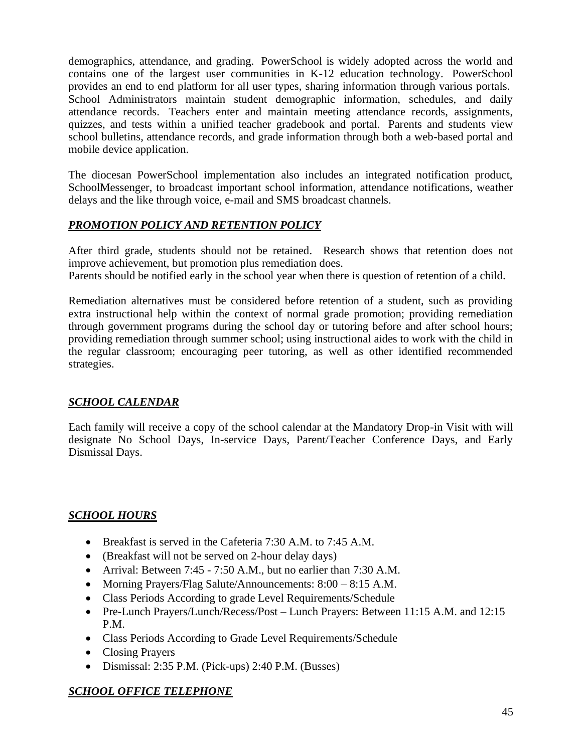demographics, attendance, and grading. PowerSchool is widely adopted across the world and contains one of the largest user communities in K-12 education technology. PowerSchool provides an end to end platform for all user types, sharing information through various portals. School Administrators maintain student demographic information, schedules, and daily attendance records. Teachers enter and maintain meeting attendance records, assignments, quizzes, and tests within a unified teacher gradebook and portal. Parents and students view school bulletins, attendance records, and grade information through both a web-based portal and mobile device application.

The diocesan PowerSchool implementation also includes an integrated notification product, SchoolMessenger, to broadcast important school information, attendance notifications, weather delays and the like through voice, e-mail and SMS broadcast channels.

## *PROMOTION POLICY AND RETENTION POLICY*

After third grade, students should not be retained. Research shows that retention does not improve achievement, but promotion plus remediation does.

Parents should be notified early in the school year when there is question of retention of a child.

Remediation alternatives must be considered before retention of a student, such as providing extra instructional help within the context of normal grade promotion; providing remediation through government programs during the school day or tutoring before and after school hours; providing remediation through summer school; using instructional aides to work with the child in the regular classroom; encouraging peer tutoring, as well as other identified recommended strategies.

#### *SCHOOL CALENDAR*

Each family will receive a copy of the school calendar at the Mandatory Drop-in Visit with will designate No School Days, In-service Days, Parent/Teacher Conference Days, and Early Dismissal Days.

## *SCHOOL HOURS*

- Breakfast is served in the Cafeteria 7:30 A.M. to 7:45 A.M.
- (Breakfast will not be served on 2-hour delay days)
- Arrival: Between 7:45 7:50 A.M., but no earlier than 7:30 A.M.
- Morning Prayers/Flag Salute/Announcements:  $8:00 8:15$  A.M.
- Class Periods According to grade Level Requirements/Schedule
- Pre-Lunch Prayers/Lunch/Recess/Post Lunch Prayers: Between 11:15 A.M. and 12:15 P.M.
- Class Periods According to Grade Level Requirements/Schedule
- Closing Prayers
- Dismissal: 2:35 P.M. (Pick-ups) 2:40 P.M. (Busses)

## *SCHOOL OFFICE TELEPHONE*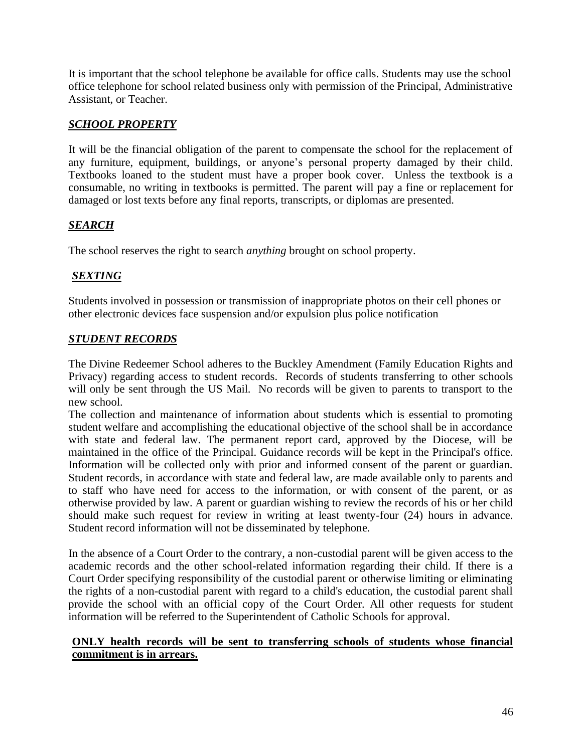It is important that the school telephone be available for office calls. Students may use the school office telephone for school related business only with permission of the Principal, Administrative Assistant, or Teacher.

## *SCHOOL PROPERTY*

It will be the financial obligation of the parent to compensate the school for the replacement of any furniture, equipment, buildings, or anyone's personal property damaged by their child. Textbooks loaned to the student must have a proper book cover. Unless the textbook is a consumable, no writing in textbooks is permitted. The parent will pay a fine or replacement for damaged or lost texts before any final reports, transcripts, or diplomas are presented.

## *SEARCH*

The school reserves the right to search *anything* brought on school property.

## *SEXTING*

Students involved in possession or transmission of inappropriate photos on their cell phones or other electronic devices face suspension and/or expulsion plus police notification

#### *STUDENT RECORDS*

The Divine Redeemer School adheres to the Buckley Amendment (Family Education Rights and Privacy) regarding access to student records. Records of students transferring to other schools will only be sent through the US Mail. No records will be given to parents to transport to the new school.

The collection and maintenance of information about students which is essential to promoting student welfare and accomplishing the educational objective of the school shall be in accordance with state and federal law. The permanent report card, approved by the Diocese, will be maintained in the office of the Principal. Guidance records will be kept in the Principal's office. Information will be collected only with prior and informed consent of the parent or guardian. Student records, in accordance with state and federal law, are made available only to parents and to staff who have need for access to the information, or with consent of the parent, or as otherwise provided by law. A parent or guardian wishing to review the records of his or her child should make such request for review in writing at least twenty-four (24) hours in advance. Student record information will not be disseminated by telephone.

In the absence of a Court Order to the contrary, a non-custodial parent will be given access to the academic records and the other school-related information regarding their child. If there is a Court Order specifying responsibility of the custodial parent or otherwise limiting or eliminating the rights of a non-custodial parent with regard to a child's education, the custodial parent shall provide the school with an official copy of the Court Order. All other requests for student information will be referred to the Superintendent of Catholic Schools for approval.

#### **ONLY health records will be sent to transferring schools of students whose financial commitment is in arrears.**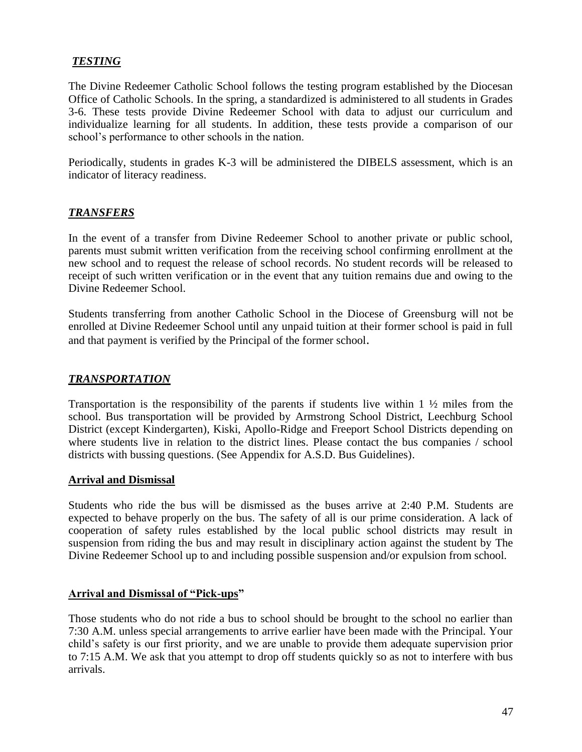#### *TESTING*

The Divine Redeemer Catholic School follows the testing program established by the Diocesan Office of Catholic Schools. In the spring, a standardized is administered to all students in Grades 3-6. These tests provide Divine Redeemer School with data to adjust our curriculum and individualize learning for all students. In addition, these tests provide a comparison of our school's performance to other schools in the nation.

Periodically, students in grades K-3 will be administered the DIBELS assessment, which is an indicator of literacy readiness.

#### *TRANSFERS*

In the event of a transfer from Divine Redeemer School to another private or public school, parents must submit written verification from the receiving school confirming enrollment at the new school and to request the release of school records. No student records will be released to receipt of such written verification or in the event that any tuition remains due and owing to the Divine Redeemer School.

Students transferring from another Catholic School in the Diocese of Greensburg will not be enrolled at Divine Redeemer School until any unpaid tuition at their former school is paid in full and that payment is verified by the Principal of the former school.

#### *TRANSPORTATION*

Transportation is the responsibility of the parents if students live within  $1 \frac{1}{2}$  miles from the school. Bus transportation will be provided by Armstrong School District, Leechburg School District (except Kindergarten), Kiski, Apollo-Ridge and Freeport School Districts depending on where students live in relation to the district lines. Please contact the bus companies / school districts with bussing questions. (See Appendix for A.S.D. Bus Guidelines).

#### **Arrival and Dismissal**

Students who ride the bus will be dismissed as the buses arrive at 2:40 P.M. Students are expected to behave properly on the bus. The safety of all is our prime consideration. A lack of cooperation of safety rules established by the local public school districts may result in suspension from riding the bus and may result in disciplinary action against the student by The Divine Redeemer School up to and including possible suspension and/or expulsion from school.

#### **Arrival and Dismissal of "Pick-ups"**

Those students who do not ride a bus to school should be brought to the school no earlier than 7:30 A.M. unless special arrangements to arrive earlier have been made with the Principal. Your child's safety is our first priority, and we are unable to provide them adequate supervision prior to 7:15 A.M. We ask that you attempt to drop off students quickly so as not to interfere with bus arrivals.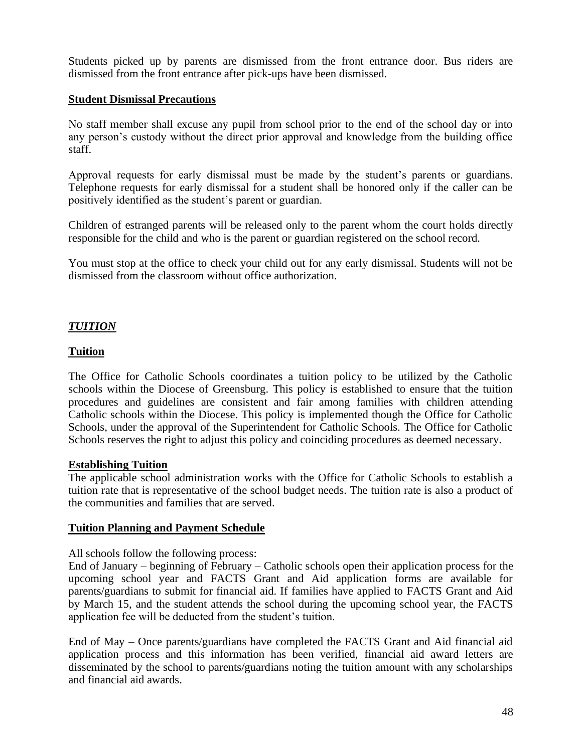Students picked up by parents are dismissed from the front entrance door. Bus riders are dismissed from the front entrance after pick-ups have been dismissed.

#### **Student Dismissal Precautions**

No staff member shall excuse any pupil from school prior to the end of the school day or into any person's custody without the direct prior approval and knowledge from the building office staff.

Approval requests for early dismissal must be made by the student's parents or guardians. Telephone requests for early dismissal for a student shall be honored only if the caller can be positively identified as the student's parent or guardian.

Children of estranged parents will be released only to the parent whom the court holds directly responsible for the child and who is the parent or guardian registered on the school record.

You must stop at the office to check your child out for any early dismissal. Students will not be dismissed from the classroom without office authorization.

#### *TUITION*

#### **Tuition**

The Office for Catholic Schools coordinates a tuition policy to be utilized by the Catholic schools within the Diocese of Greensburg. This policy is established to ensure that the tuition procedures and guidelines are consistent and fair among families with children attending Catholic schools within the Diocese. This policy is implemented though the Office for Catholic Schools, under the approval of the Superintendent for Catholic Schools. The Office for Catholic Schools reserves the right to adjust this policy and coinciding procedures as deemed necessary.

#### **Establishing Tuition**

The applicable school administration works with the Office for Catholic Schools to establish a tuition rate that is representative of the school budget needs. The tuition rate is also a product of the communities and families that are served.

#### **Tuition Planning and Payment Schedule**

All schools follow the following process:

End of January – beginning of February – Catholic schools open their application process for the upcoming school year and FACTS Grant and Aid application forms are available for parents/guardians to submit for financial aid. If families have applied to FACTS Grant and Aid by March 15, and the student attends the school during the upcoming school year, the FACTS application fee will be deducted from the student's tuition.

End of May – Once parents/guardians have completed the FACTS Grant and Aid financial aid application process and this information has been verified, financial aid award letters are disseminated by the school to parents/guardians noting the tuition amount with any scholarships and financial aid awards.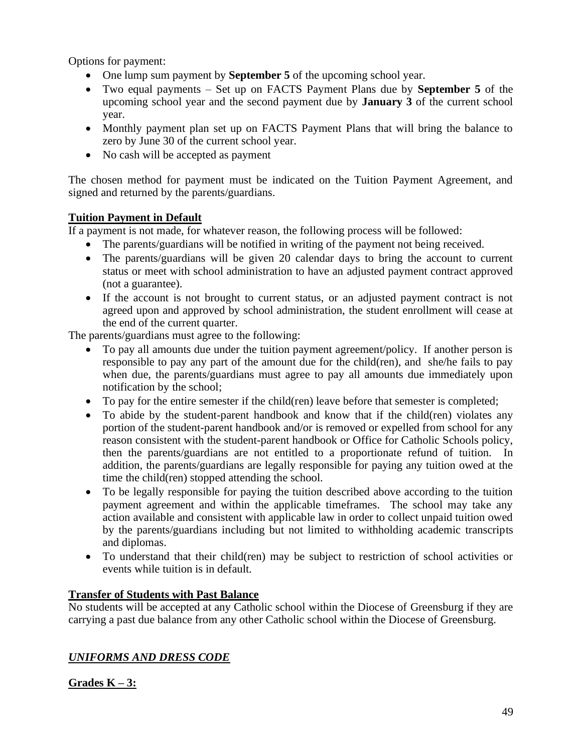Options for payment:

- One lump sum payment by **September 5** of the upcoming school year.
- Two equal payments Set up on FACTS Payment Plans due by **September 5** of the upcoming school year and the second payment due by **January 3** of the current school year.
- Monthly payment plan set up on FACTS Payment Plans that will bring the balance to zero by June 30 of the current school year.
- No cash will be accepted as payment

The chosen method for payment must be indicated on the Tuition Payment Agreement, and signed and returned by the parents/guardians.

## **Tuition Payment in Default**

If a payment is not made, for whatever reason, the following process will be followed:

- The parents/guardians will be notified in writing of the payment not being received.
- The parents/guardians will be given 20 calendar days to bring the account to current status or meet with school administration to have an adjusted payment contract approved (not a guarantee).
- If the account is not brought to current status, or an adjusted payment contract is not agreed upon and approved by school administration, the student enrollment will cease at the end of the current quarter.

The parents/guardians must agree to the following:

- To pay all amounts due under the tuition payment agreement/policy. If another person is responsible to pay any part of the amount due for the child(ren), and she/he fails to pay when due, the parents/guardians must agree to pay all amounts due immediately upon notification by the school;
- To pay for the entire semester if the child(ren) leave before that semester is completed;
- To abide by the student-parent handbook and know that if the child(ren) violates any portion of the student-parent handbook and/or is removed or expelled from school for any reason consistent with the student-parent handbook or Office for Catholic Schools policy, then the parents/guardians are not entitled to a proportionate refund of tuition. In addition, the parents/guardians are legally responsible for paying any tuition owed at the time the child(ren) stopped attending the school.
- To be legally responsible for paying the tuition described above according to the tuition payment agreement and within the applicable timeframes. The school may take any action available and consistent with applicable law in order to collect unpaid tuition owed by the parents/guardians including but not limited to withholding academic transcripts and diplomas.
- To understand that their child(ren) may be subject to restriction of school activities or events while tuition is in default.

#### **Transfer of Students with Past Balance**

No students will be accepted at any Catholic school within the Diocese of Greensburg if they are carrying a past due balance from any other Catholic school within the Diocese of Greensburg.

## *UNIFORMS AND DRESS CODE*

**Grades K – 3:**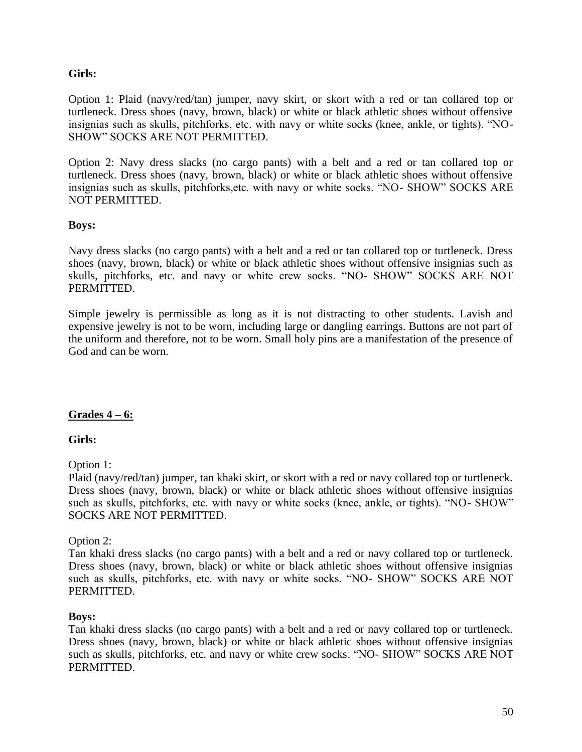#### **Girls:**

Option 1: Plaid (navy/red/tan) jumper, navy skirt, or skort with a red or tan collared top or turtleneck. Dress shoes (navy, brown, black) or white or black athletic shoes without offensive insignias such as skulls, pitchforks, etc. with navy or white socks (knee, ankle, or tights). "NO-SHOW" SOCKS ARE NOT PERMITTED.

Option 2: Navy dress slacks (no cargo pants) with a belt and a red or tan collared top or turtleneck. Dress shoes (navy, brown, black) or white or black athletic shoes without offensive insignias such as skulls, pitchforks,etc. with navy or white socks. "NO- SHOW" SOCKS ARE NOT PERMITTED.

#### **Boys:**

Navy dress slacks (no cargo pants) with a belt and a red or tan collared top or turtleneck. Dress shoes (navy, brown, black) or white or black athletic shoes without offensive insignias such as skulls, pitchforks, etc. and navy or white crew socks. "NO- SHOW" SOCKS ARE NOT PERMITTED.

Simple jewelry is permissible as long as it is not distracting to other students. Lavish and expensive jewelry is not to be worn, including large or dangling earrings. Buttons are not part of the uniform and therefore, not to be worn. Small holy pins are a manifestation of the presence of God and can be worn.

#### **Grades 4 – 6:**

#### **Girls:**

Option 1:

Plaid (navy/red/tan) jumper, tan khaki skirt, or skort with a red or navy collared top or turtleneck. Dress shoes (navy, brown, black) or white or black athletic shoes without offensive insignias such as skulls, pitchforks, etc. with navy or white socks (knee, ankle, or tights). "NO- SHOW" SOCKS ARE NOT PERMITTED.

#### Option 2:

Tan khaki dress slacks (no cargo pants) with a belt and a red or navy collared top or turtleneck. Dress shoes (navy, brown, black) or white or black athletic shoes without offensive insignias such as skulls, pitchforks, etc. with navy or white socks. "NO- SHOW" SOCKS ARE NOT PERMITTED.

#### **Boys:**

Tan khaki dress slacks (no cargo pants) with a belt and a red or navy collared top or turtleneck. Dress shoes (navy, brown, black) or white or black athletic shoes without offensive insignias such as skulls, pitchforks, etc. and navy or white crew socks. "NO- SHOW" SOCKS ARE NOT PERMITTED.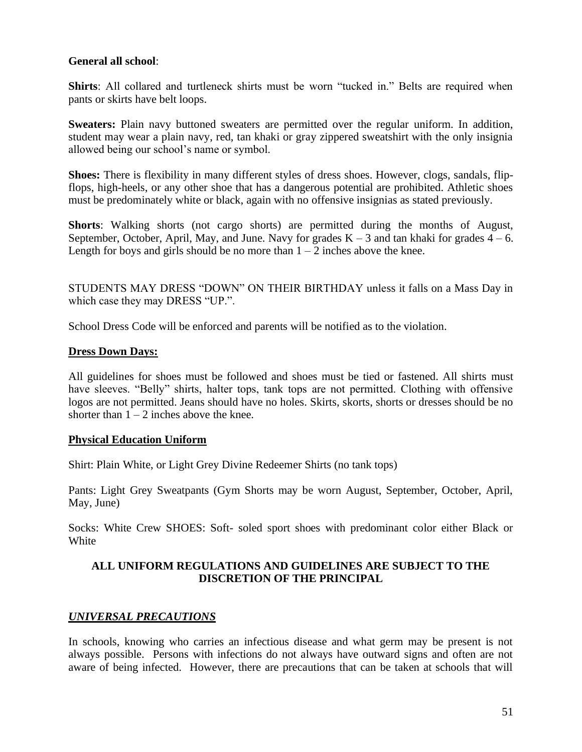#### **General all school**:

**Shirts**: All collared and turtleneck shirts must be worn "tucked in." Belts are required when pants or skirts have belt loops.

**Sweaters:** Plain navy buttoned sweaters are permitted over the regular uniform. In addition, student may wear a plain navy, red, tan khaki or gray zippered sweatshirt with the only insignia allowed being our school's name or symbol.

**Shoes:** There is flexibility in many different styles of dress shoes. However, clogs, sandals, flipflops, high-heels, or any other shoe that has a dangerous potential are prohibited. Athletic shoes must be predominately white or black, again with no offensive insignias as stated previously.

**Shorts**: Walking shorts (not cargo shorts) are permitted during the months of August, September, October, April, May, and June. Navy for grades  $K - 3$  and tan khaki for grades  $4 - 6$ . Length for boys and girls should be no more than  $1 - 2$  inches above the knee.

STUDENTS MAY DRESS "DOWN" ON THEIR BIRTHDAY unless it falls on a Mass Day in which case they may DRESS "UP.".

School Dress Code will be enforced and parents will be notified as to the violation.

#### **Dress Down Days:**

All guidelines for shoes must be followed and shoes must be tied or fastened. All shirts must have sleeves. "Belly" shirts, halter tops, tank tops are not permitted. Clothing with offensive logos are not permitted. Jeans should have no holes. Skirts, skorts, shorts or dresses should be no shorter than  $1 - 2$  inches above the knee.

#### **Physical Education Uniform**

Shirt: Plain White, or Light Grey Divine Redeemer Shirts (no tank tops)

Pants: Light Grey Sweatpants (Gym Shorts may be worn August, September, October, April, May, June)

Socks: White Crew SHOES: Soft- soled sport shoes with predominant color either Black or White

#### **ALL UNIFORM REGULATIONS AND GUIDELINES ARE SUBJECT TO THE DISCRETION OF THE PRINCIPAL**

#### *UNIVERSAL PRECAUTIONS*

In schools, knowing who carries an infectious disease and what germ may be present is not always possible. Persons with infections do not always have outward signs and often are not aware of being infected. However, there are precautions that can be taken at schools that will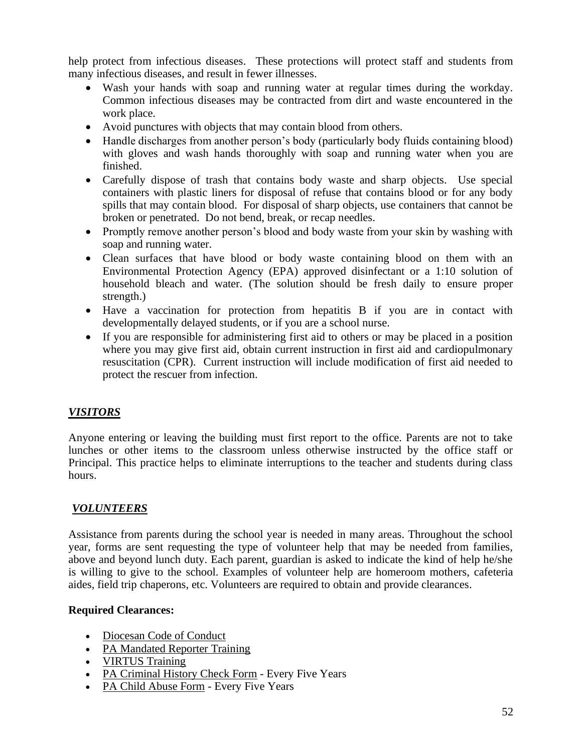help protect from infectious diseases. These protections will protect staff and students from many infectious diseases, and result in fewer illnesses.

- Wash your hands with soap and running water at regular times during the workday. Common infectious diseases may be contracted from dirt and waste encountered in the work place.
- Avoid punctures with objects that may contain blood from others.
- Handle discharges from another person's body (particularly body fluids containing blood) with gloves and wash hands thoroughly with soap and running water when you are finished.
- Carefully dispose of trash that contains body waste and sharp objects. Use special containers with plastic liners for disposal of refuse that contains blood or for any body spills that may contain blood. For disposal of sharp objects, use containers that cannot be broken or penetrated. Do not bend, break, or recap needles.
- Promptly remove another person's blood and body waste from your skin by washing with soap and running water.
- Clean surfaces that have blood or body waste containing blood on them with an Environmental Protection Agency (EPA) approved disinfectant or a 1:10 solution of household bleach and water. (The solution should be fresh daily to ensure proper strength.)
- Have a vaccination for protection from hepatitis B if you are in contact with developmentally delayed students, or if you are a school nurse.
- If you are responsible for administering first aid to others or may be placed in a position where you may give first aid, obtain current instruction in first aid and cardiopulmonary resuscitation (CPR). Current instruction will include modification of first aid needed to protect the rescuer from infection.

## *VISITORS*

Anyone entering or leaving the building must first report to the office. Parents are not to take lunches or other items to the classroom unless otherwise instructed by the office staff or Principal. This practice helps to eliminate interruptions to the teacher and students during class hours.

#### *VOLUNTEERS*

Assistance from parents during the school year is needed in many areas. Throughout the school year, forms are sent requesting the type of volunteer help that may be needed from families, above and beyond lunch duty. Each parent, guardian is asked to indicate the kind of help he/she is willing to give to the school. Examples of volunteer help are homeroom mothers, cafeteria aides, field trip chaperons, etc. Volunteers are required to obtain and provide clearances.

#### **Required Clearances:**

- [Diocesan Code of Conduct](http://www.dioceseofgreensburg.org/youth-protection/Pages/virtus.aspx#code)
- [PA Mandated Reporter Training](http://www.dioceseofgreensburg.org/youth-protection/Pages/childservices.aspx#mandate)
- [VIRTUS Training](http://www.dioceseofgreensburg.org/youth-protection/Pages/virtus.aspx#virtus)
- [PA Criminal History Check Form](http://www.dioceseofgreensburg.org/youth-protection/Pages/childservices.aspx#criminal) Every Five Years
- [PA Child Abuse Form](http://www.dioceseofgreensburg.org/youth-protection/Pages/childservices.aspx#childabuse) Every Five Years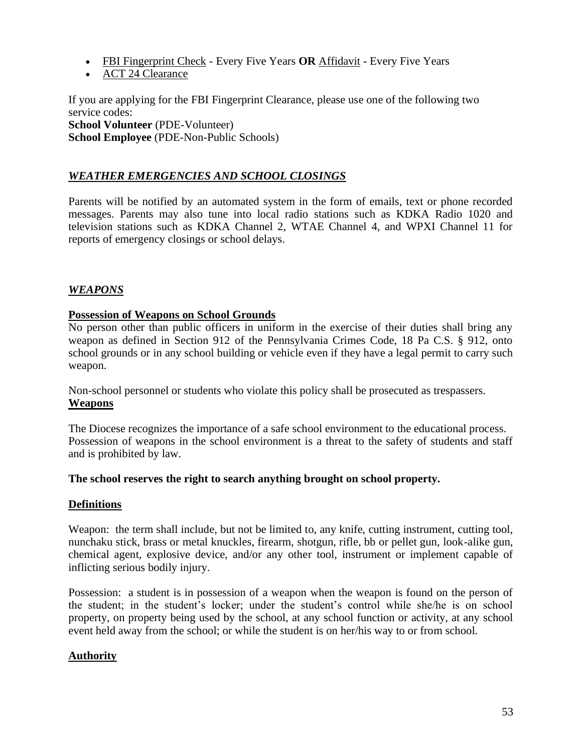- [FBI Fingerprint Check](http://www.dioceseofgreensburg.org/youth-protection/Pages/childservices.aspx#fingerprint) Every Five Years **OR** [Affidavit](http://www.dioceseofgreensburg.org/youth-protection/Pages/childservices.aspx#affidavit) Every Five Years
- [ACT 24 Clearance](http://www.dioceseofgreensburg.org/youth-protection/Pages/childservices.aspx#acts)

If you are applying for the FBI Fingerprint Clearance, please use one of the following two service codes:

#### **School Volunteer** (PDE-Volunteer)

**School Employee** (PDE-Non-Public Schools)

## *WEATHER EMERGENCIES AND SCHOOL CLOSINGS*

Parents will be notified by an automated system in the form of emails, text or phone recorded messages. Parents may also tune into local radio stations such as KDKA Radio 1020 and television stations such as KDKA Channel 2, WTAE Channel 4, and WPXI Channel 11 for reports of emergency closings or school delays.

#### *WEAPONS*

#### **Possession of Weapons on School Grounds**

No person other than public officers in uniform in the exercise of their duties shall bring any weapon as defined in Section 912 of the Pennsylvania Crimes Code, 18 Pa C.S. § 912, onto school grounds or in any school building or vehicle even if they have a legal permit to carry such weapon.

Non-school personnel or students who violate this policy shall be prosecuted as trespassers. **Weapons**

The Diocese recognizes the importance of a safe school environment to the educational process. Possession of weapons in the school environment is a threat to the safety of students and staff and is prohibited by law.

#### **The school reserves the right to search anything brought on school property.**

#### **Definitions**

Weapon: the term shall include, but not be limited to, any knife, cutting instrument, cutting tool, nunchaku stick, brass or metal knuckles, firearm, shotgun, rifle, bb or pellet gun, look-alike gun, chemical agent, explosive device, and/or any other tool, instrument or implement capable of inflicting serious bodily injury.

Possession:a student is in possession of a weapon when the weapon is found on the person of the student; in the student's locker; under the student's control while she/he is on school property, on property being used by the school, at any school function or activity, at any school event held away from the school; or while the student is on her/his way to or from school.

#### **Authority**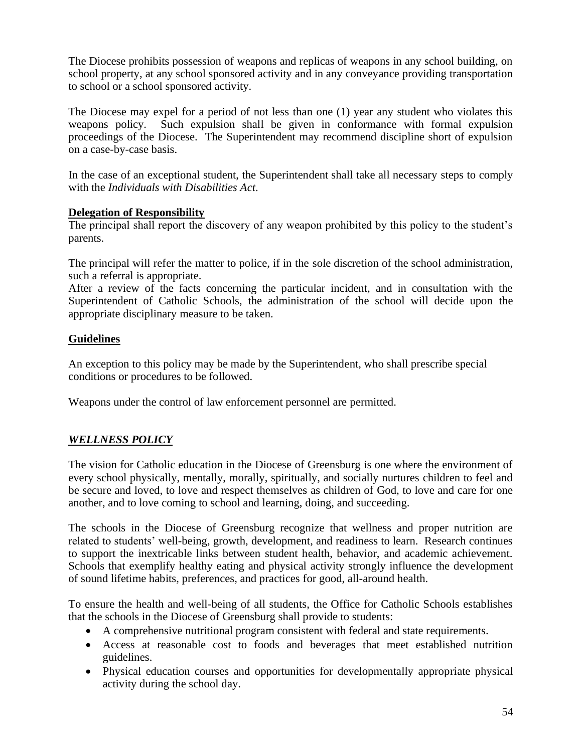The Diocese prohibits possession of weapons and replicas of weapons in any school building, on school property, at any school sponsored activity and in any conveyance providing transportation to school or a school sponsored activity.

The Diocese may expel for a period of not less than one (1) year any student who violates this weapons policy. Such expulsion shall be given in conformance with formal expulsion proceedings of the Diocese. The Superintendent may recommend discipline short of expulsion on a case-by-case basis.

In the case of an exceptional student, the Superintendent shall take all necessary steps to comply with the *Individuals with Disabilities Act*.

#### **Delegation of Responsibility**

The principal shall report the discovery of any weapon prohibited by this policy to the student's parents.

The principal will refer the matter to police, if in the sole discretion of the school administration, such a referral is appropriate.

After a review of the facts concerning the particular incident, and in consultation with the Superintendent of Catholic Schools, the administration of the school will decide upon the appropriate disciplinary measure to be taken.

#### **Guidelines**

An exception to this policy may be made by the Superintendent, who shall prescribe special conditions or procedures to be followed.

Weapons under the control of law enforcement personnel are permitted.

#### *WELLNESS POLICY*

The vision for Catholic education in the Diocese of Greensburg is one where the environment of every school physically, mentally, morally, spiritually, and socially nurtures children to feel and be secure and loved, to love and respect themselves as children of God, to love and care for one another, and to love coming to school and learning, doing, and succeeding.

The schools in the Diocese of Greensburg recognize that wellness and proper nutrition are related to students' well-being, growth, development, and readiness to learn. Research continues to support the inextricable links between student health, behavior, and academic achievement. Schools that exemplify healthy eating and physical activity strongly influence the development of sound lifetime habits, preferences, and practices for good, all-around health.

To ensure the health and well-being of all students, the Office for Catholic Schools establishes that the schools in the Diocese of Greensburg shall provide to students:

- A comprehensive nutritional program consistent with federal and state requirements.
- Access at reasonable cost to foods and beverages that meet established nutrition guidelines.
- Physical education courses and opportunities for developmentally appropriate physical activity during the school day.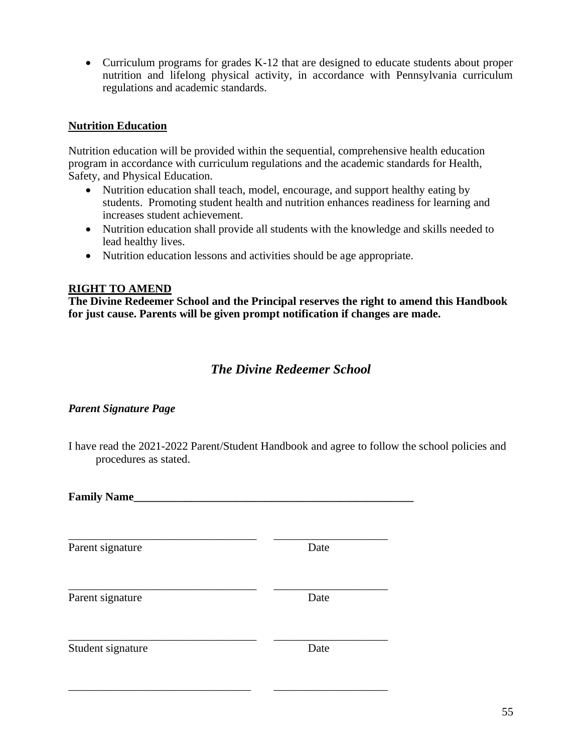• Curriculum programs for grades K-12 that are designed to educate students about proper nutrition and lifelong physical activity, in accordance with Pennsylvania curriculum regulations and academic standards.

#### **Nutrition Education**

Nutrition education will be provided within the sequential, comprehensive health education program in accordance with curriculum regulations and the academic standards for Health, Safety, and Physical Education.

- Nutrition education shall teach, model, encourage, and support healthy eating by students. Promoting student health and nutrition enhances readiness for learning and increases student achievement.
- Nutrition education shall provide all students with the knowledge and skills needed to lead healthy lives.
- Nutrition education lessons and activities should be age appropriate.

#### **RIGHT TO AMEND**

**The Divine Redeemer School and the Principal reserves the right to amend this Handbook for just cause. Parents will be given prompt notification if changes are made.**

## *The Divine Redeemer School*

#### *Parent Signature Page*

I have read the 2021-2022 Parent/Student Handbook and agree to follow the school policies and procedures as stated.

| <b>Family Name_</b> |      |  |
|---------------------|------|--|
| Parent signature    | Date |  |
| Parent signature    | Date |  |
| Student signature   | Date |  |

\_\_\_\_\_\_\_\_\_\_\_\_\_\_\_\_\_\_\_\_\_\_\_\_\_\_\_\_\_\_\_\_ \_\_\_\_\_\_\_\_\_\_\_\_\_\_\_\_\_\_\_\_